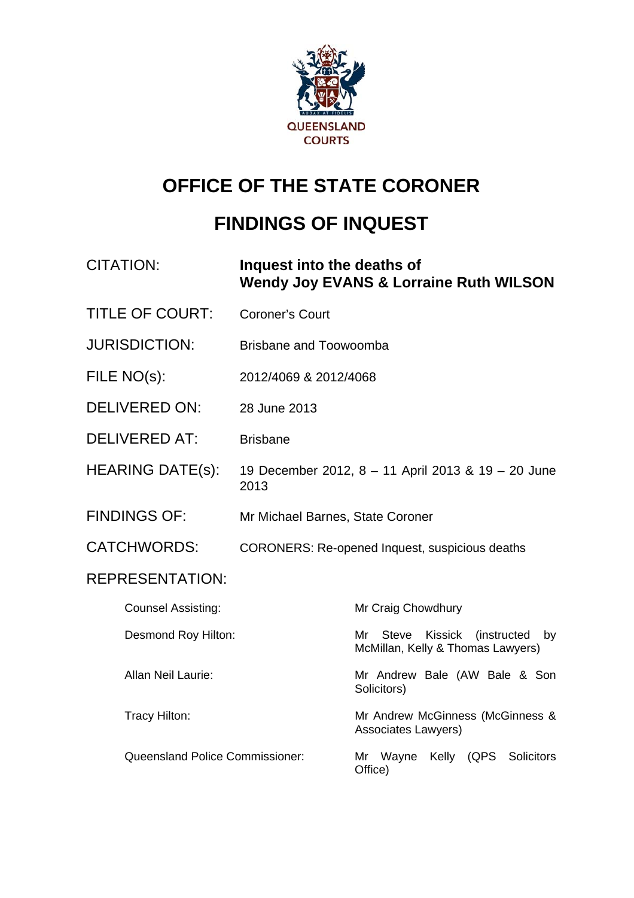

# **OFFICE OF THE STATE CORONER**

# **FINDINGS OF INQUEST**

| <b>CITATION:</b>                | Inquest into the deaths of       | <b>Wendy Joy EVANS &amp; Lorraine Ruth WILSON</b>                                               |
|---------------------------------|----------------------------------|-------------------------------------------------------------------------------------------------|
| <b>TITLE OF COURT:</b>          | <b>Coroner's Court</b>           |                                                                                                 |
| <b>JURISDICTION:</b>            | <b>Brisbane and Toowoomba</b>    |                                                                                                 |
| FILE NO(s):                     | 2012/4069 & 2012/4068            |                                                                                                 |
| <b>DELIVERED ON:</b>            | 28 June 2013                     |                                                                                                 |
| <b>DELIVERED AT:</b>            | <b>Brisbane</b>                  |                                                                                                 |
| <b>HEARING DATE(s):</b>         | 2013                             | 19 December 2012, 8 - 11 April 2013 & 19 - 20 June                                              |
| <b>FINDINGS OF:</b>             | Mr Michael Barnes, State Coroner |                                                                                                 |
| <b>CATCHWORDS:</b>              |                                  | <b>CORONERS: Re-opened Inquest, suspicious deaths</b>                                           |
| <b>REPRESENTATION:</b>          |                                  |                                                                                                 |
| <b>Counsel Assisting:</b>       |                                  | Mr Craig Chowdhury                                                                              |
| Desmond Roy Hilton:             |                                  | <b>Steve</b><br>Kissick<br><i>(instructed)</i><br>Mr<br>by<br>McMillan, Kelly & Thomas Lawyers) |
| <b>Allan Neil Laurie:</b>       |                                  | Mr Andrew Bale (AW Bale & Son<br>Solicitors)                                                    |
| Tracy Hilton:                   |                                  | Mr Andrew McGinness (McGinness &<br>Associates Lawyers)                                         |
| Queensland Police Commissioner: |                                  | Mr Wayne<br>Kelly (QPS Solicitors<br>Office)                                                    |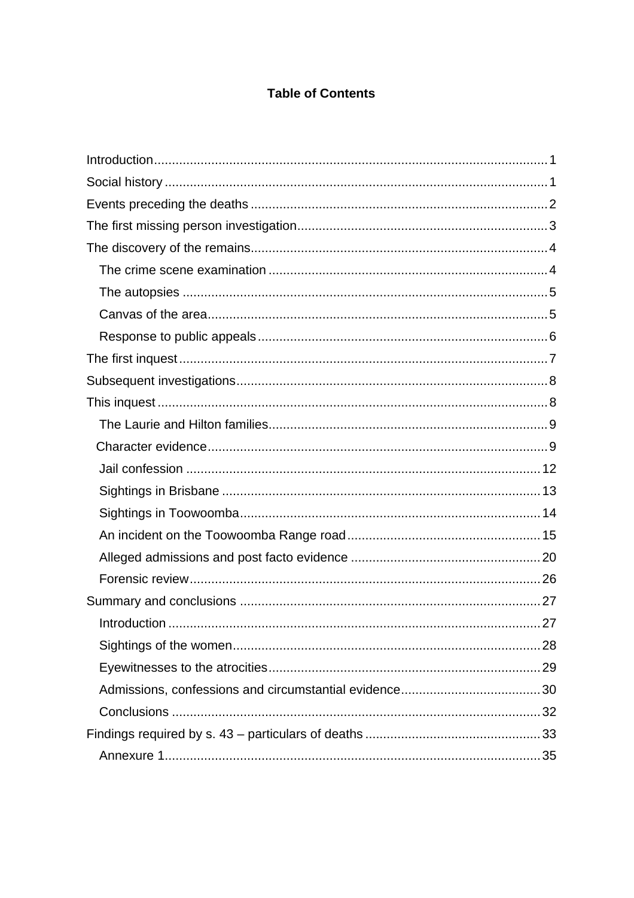#### **Table of Contents**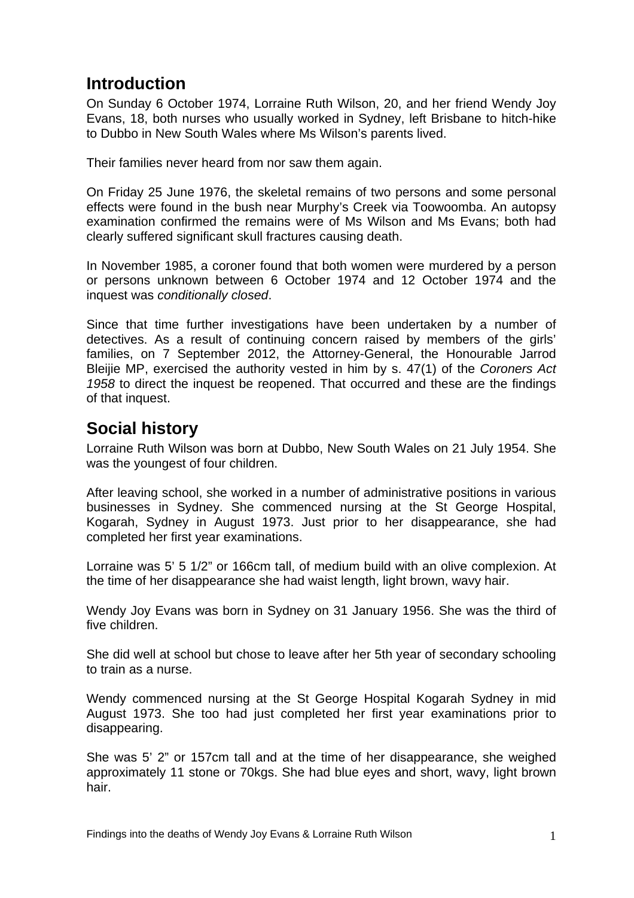# <span id="page-2-0"></span>**Introduction**

On Sunday 6 October 1974, Lorraine Ruth Wilson, 20, and her friend Wendy Joy Evans, 18, both nurses who usually worked in Sydney, left Brisbane to hitch-hike to Dubbo in New South Wales where Ms Wilson's parents lived.

Their families never heard from nor saw them again.

On Friday 25 June 1976, the skeletal remains of two persons and some personal effects were found in the bush near Murphy's Creek via Toowoomba. An autopsy examination confirmed the remains were of Ms Wilson and Ms Evans; both had clearly suffered significant skull fractures causing death.

In November 1985, a coroner found that both women were murdered by a person or persons unknown between 6 October 1974 and 12 October 1974 and the inquest was *conditionally closed*.

Since that time further investigations have been undertaken by a number of detectives. As a result of continuing concern raised by members of the girls' families, on 7 September 2012, the Attorney-General, the Honourable Jarrod Bleijie MP, exercised the authority vested in him by s. 47(1) of the *Coroners Act 1958* to direct the inquest be reopened. That occurred and these are the findings of that inquest.

# **Social history**

Lorraine Ruth Wilson was born at Dubbo, New South Wales on 21 July 1954. She was the youngest of four children.

After leaving school, she worked in a number of administrative positions in various businesses in Sydney. She commenced nursing at the St George Hospital, Kogarah, Sydney in August 1973. Just prior to her disappearance, she had completed her first year examinations.

Lorraine was 5' 5 1/2" or 166cm tall, of medium build with an olive complexion. At the time of her disappearance she had waist length, light brown, wavy hair.

Wendy Joy Evans was born in Sydney on 31 January 1956. She was the third of five children.

She did well at school but chose to leave after her 5th year of secondary schooling to train as a nurse.

Wendy commenced nursing at the St George Hospital Kogarah Sydney in mid August 1973. She too had just completed her first year examinations prior to disappearing.

She was 5' 2" or 157cm tall and at the time of her disappearance, she weighed approximately 11 stone or 70kgs. She had blue eyes and short, wavy, light brown hair.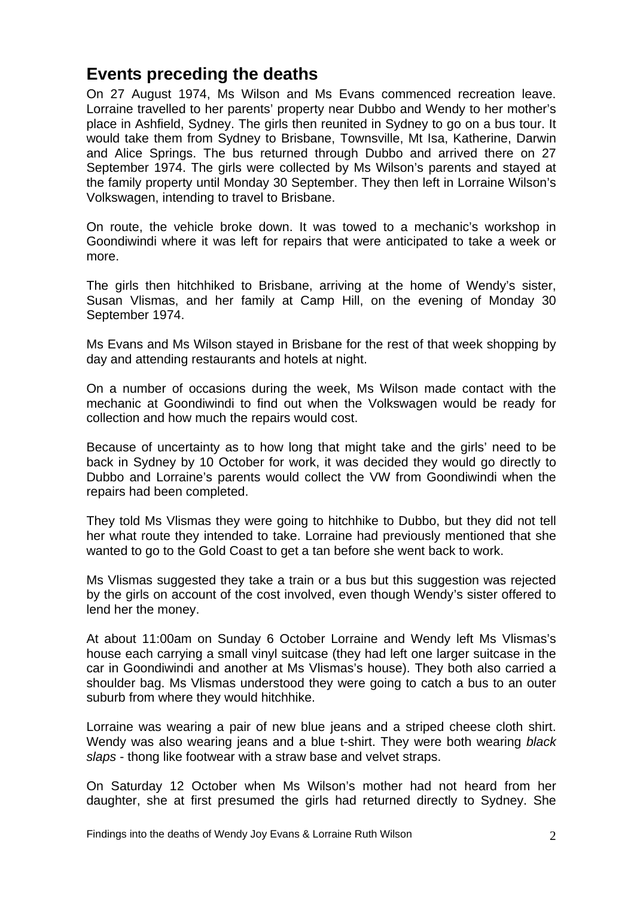## <span id="page-3-0"></span>**Events preceding the deaths**

On 27 August 1974, Ms Wilson and Ms Evans commenced recreation leave. Lorraine travelled to her parents' property near Dubbo and Wendy to her mother's place in Ashfield, Sydney. The girls then reunited in Sydney to go on a bus tour. It would take them from Sydney to Brisbane, Townsville, Mt Isa, Katherine, Darwin and Alice Springs. The bus returned through Dubbo and arrived there on 27 September 1974. The girls were collected by Ms Wilson's parents and stayed at the family property until Monday 30 September. They then left in Lorraine Wilson's Volkswagen, intending to travel to Brisbane.

On route, the vehicle broke down. It was towed to a mechanic's workshop in Goondiwindi where it was left for repairs that were anticipated to take a week or more.

The girls then hitchhiked to Brisbane, arriving at the home of Wendy's sister, Susan Vlismas, and her family at Camp Hill, on the evening of Monday 30 September 1974.

Ms Evans and Ms Wilson stayed in Brisbane for the rest of that week shopping by day and attending restaurants and hotels at night.

On a number of occasions during the week, Ms Wilson made contact with the mechanic at Goondiwindi to find out when the Volkswagen would be ready for collection and how much the repairs would cost.

Because of uncertainty as to how long that might take and the girls' need to be back in Sydney by 10 October for work, it was decided they would go directly to Dubbo and Lorraine's parents would collect the VW from Goondiwindi when the repairs had been completed.

They told Ms Vlismas they were going to hitchhike to Dubbo, but they did not tell her what route they intended to take. Lorraine had previously mentioned that she wanted to go to the Gold Coast to get a tan before she went back to work.

Ms Vlismas suggested they take a train or a bus but this suggestion was rejected by the girls on account of the cost involved, even though Wendy's sister offered to lend her the money.

At about 11:00am on Sunday 6 October Lorraine and Wendy left Ms Vlismas's house each carrying a small vinyl suitcase (they had left one larger suitcase in the car in Goondiwindi and another at Ms Vlismas's house). They both also carried a shoulder bag. Ms Vlismas understood they were going to catch a bus to an outer suburb from where they would hitchhike.

Lorraine was wearing a pair of new blue jeans and a striped cheese cloth shirt. Wendy was also wearing jeans and a blue t-shirt. They were both wearing *black slaps* - thong like footwear with a straw base and velvet straps.

On Saturday 12 October when Ms Wilson's mother had not heard from her daughter, she at first presumed the girls had returned directly to Sydney. She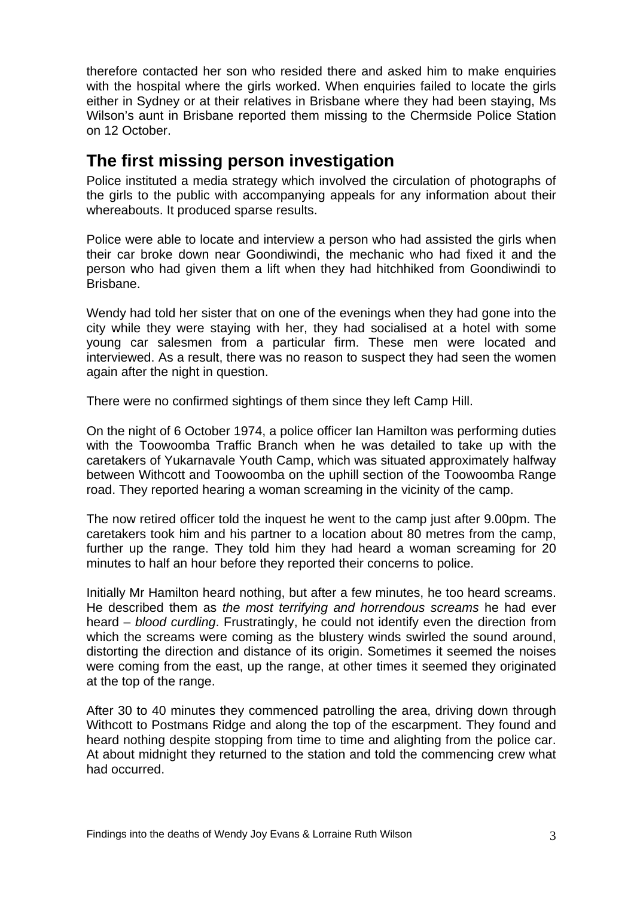<span id="page-4-0"></span>therefore contacted her son who resided there and asked him to make enquiries with the hospital where the girls worked. When enquiries failed to locate the girls either in Sydney or at their relatives in Brisbane where they had been staying, Ms Wilson's aunt in Brisbane reported them missing to the Chermside Police Station on 12 October.

# **The first missing person investigation**

Police instituted a media strategy which involved the circulation of photographs of the girls to the public with accompanying appeals for any information about their whereabouts. It produced sparse results.

Police were able to locate and interview a person who had assisted the girls when their car broke down near Goondiwindi, the mechanic who had fixed it and the person who had given them a lift when they had hitchhiked from Goondiwindi to Brisbane.

Wendy had told her sister that on one of the evenings when they had gone into the city while they were staying with her, they had socialised at a hotel with some young car salesmen from a particular firm. These men were located and interviewed. As a result, there was no reason to suspect they had seen the women again after the night in question.

There were no confirmed sightings of them since they left Camp Hill.

On the night of 6 October 1974, a police officer Ian Hamilton was performing duties with the Toowoomba Traffic Branch when he was detailed to take up with the caretakers of Yukarnavale Youth Camp, which was situated approximately halfway between Withcott and Toowoomba on the uphill section of the Toowoomba Range road. They reported hearing a woman screaming in the vicinity of the camp.

The now retired officer told the inquest he went to the camp just after 9.00pm. The caretakers took him and his partner to a location about 80 metres from the camp, further up the range. They told him they had heard a woman screaming for 20 minutes to half an hour before they reported their concerns to police.

Initially Mr Hamilton heard nothing, but after a few minutes, he too heard screams. He described them as *the most terrifying and horrendous screams* he had ever heard – *blood curdling*. Frustratingly, he could not identify even the direction from which the screams were coming as the blustery winds swirled the sound around, distorting the direction and distance of its origin. Sometimes it seemed the noises were coming from the east, up the range, at other times it seemed they originated at the top of the range.

After 30 to 40 minutes they commenced patrolling the area, driving down through Withcott to Postmans Ridge and along the top of the escarpment. They found and heard nothing despite stopping from time to time and alighting from the police car. At about midnight they returned to the station and told the commencing crew what had occurred.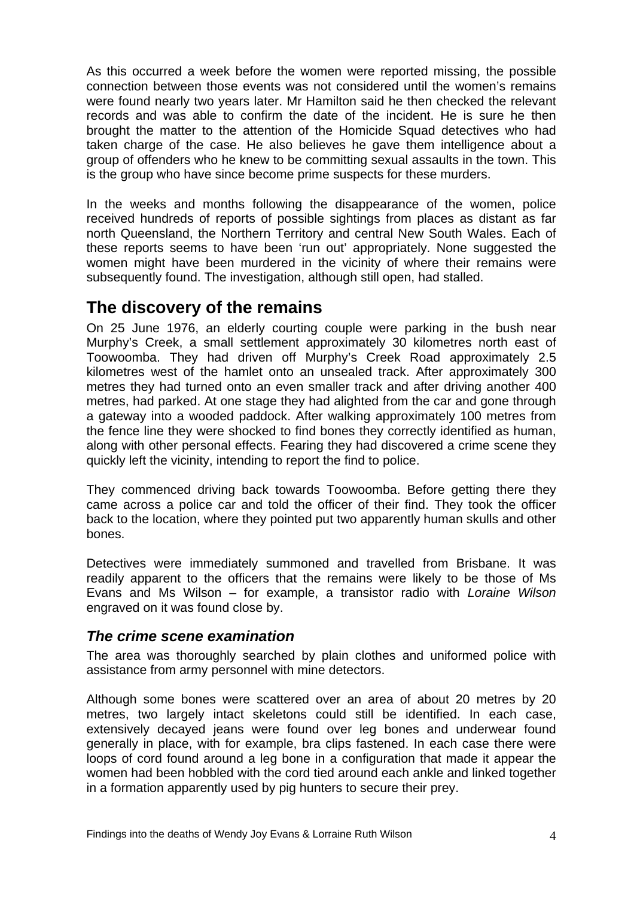<span id="page-5-0"></span>As this occurred a week before the women were reported missing, the possible connection between those events was not considered until the women's remains were found nearly two years later. Mr Hamilton said he then checked the relevant records and was able to confirm the date of the incident. He is sure he then brought the matter to the attention of the Homicide Squad detectives who had taken charge of the case. He also believes he gave them intelligence about a group of offenders who he knew to be committing sexual assaults in the town. This is the group who have since become prime suspects for these murders.

In the weeks and months following the disappearance of the women, police received hundreds of reports of possible sightings from places as distant as far north Queensland, the Northern Territory and central New South Wales. Each of these reports seems to have been 'run out' appropriately. None suggested the women might have been murdered in the vicinity of where their remains were subsequently found. The investigation, although still open, had stalled.

### **The discovery of the remains**

On 25 June 1976, an elderly courting couple were parking in the bush near Murphy's Creek, a small settlement approximately 30 kilometres north east of Toowoomba. They had driven off Murphy's Creek Road approximately 2.5 kilometres west of the hamlet onto an unsealed track. After approximately 300 metres they had turned onto an even smaller track and after driving another 400 metres, had parked. At one stage they had alighted from the car and gone through a gateway into a wooded paddock. After walking approximately 100 metres from the fence line they were shocked to find bones they correctly identified as human, along with other personal effects. Fearing they had discovered a crime scene they quickly left the vicinity, intending to report the find to police.

They commenced driving back towards Toowoomba. Before getting there they came across a police car and told the officer of their find. They took the officer back to the location, where they pointed put two apparently human skulls and other bones.

Detectives were immediately summoned and travelled from Brisbane. It was readily apparent to the officers that the remains were likely to be those of Ms Evans and Ms Wilson – for example, a transistor radio with *Loraine Wilson* engraved on it was found close by.

#### *The crime scene examination*

The area was thoroughly searched by plain clothes and uniformed police with assistance from army personnel with mine detectors.

Although some bones were scattered over an area of about 20 metres by 20 metres, two largely intact skeletons could still be identified. In each case, extensively decayed jeans were found over leg bones and underwear found generally in place, with for example, bra clips fastened. In each case there were loops of cord found around a leg bone in a configuration that made it appear the women had been hobbled with the cord tied around each ankle and linked together in a formation apparently used by pig hunters to secure their prey.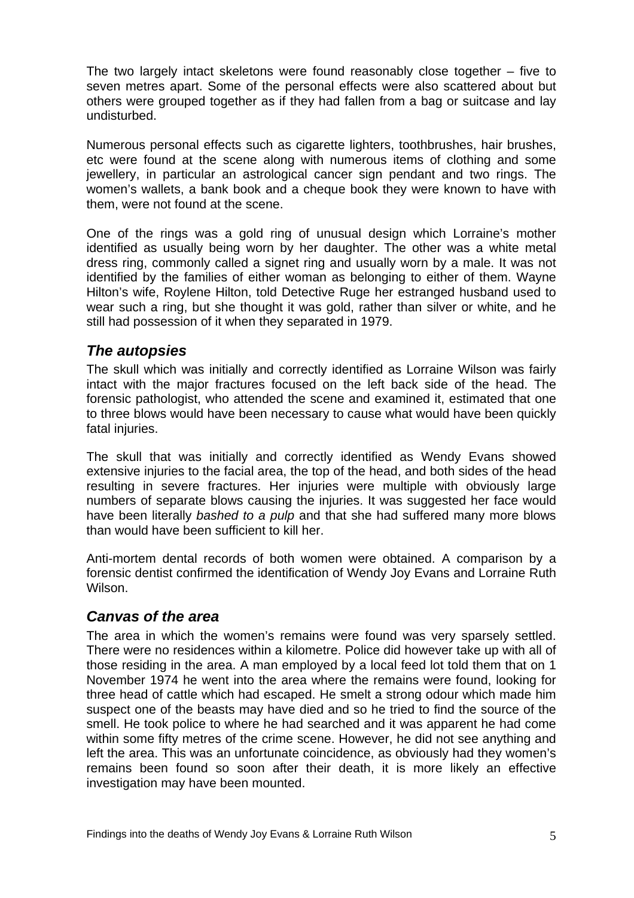<span id="page-6-0"></span>The two largely intact skeletons were found reasonably close together – five to seven metres apart. Some of the personal effects were also scattered about but others were grouped together as if they had fallen from a bag or suitcase and lay undisturbed.

Numerous personal effects such as cigarette lighters, toothbrushes, hair brushes, etc were found at the scene along with numerous items of clothing and some jewellery, in particular an astrological cancer sign pendant and two rings. The women's wallets, a bank book and a cheque book they were known to have with them, were not found at the scene.

One of the rings was a gold ring of unusual design which Lorraine's mother identified as usually being worn by her daughter. The other was a white metal dress ring, commonly called a signet ring and usually worn by a male. It was not identified by the families of either woman as belonging to either of them. Wayne Hilton's wife, Roylene Hilton, told Detective Ruge her estranged husband used to wear such a ring, but she thought it was gold, rather than silver or white, and he still had possession of it when they separated in 1979.

#### *The autopsies*

The skull which was initially and correctly identified as Lorraine Wilson was fairly intact with the major fractures focused on the left back side of the head. The forensic pathologist, who attended the scene and examined it, estimated that one to three blows would have been necessary to cause what would have been quickly fatal injuries.

The skull that was initially and correctly identified as Wendy Evans showed extensive injuries to the facial area, the top of the head, and both sides of the head resulting in severe fractures. Her injuries were multiple with obviously large numbers of separate blows causing the injuries. It was suggested her face would have been literally *bashed to a pulp* and that she had suffered many more blows than would have been sufficient to kill her.

Anti-mortem dental records of both women were obtained. A comparison by a forensic dentist confirmed the identification of Wendy Joy Evans and Lorraine Ruth Wilson.

#### *Canvas of the area*

The area in which the women's remains were found was very sparsely settled. There were no residences within a kilometre. Police did however take up with all of those residing in the area. A man employed by a local feed lot told them that on 1 November 1974 he went into the area where the remains were found, looking for three head of cattle which had escaped. He smelt a strong odour which made him suspect one of the beasts may have died and so he tried to find the source of the smell. He took police to where he had searched and it was apparent he had come within some fifty metres of the crime scene. However, he did not see anything and left the area. This was an unfortunate coincidence, as obviously had they women's remains been found so soon after their death, it is more likely an effective investigation may have been mounted.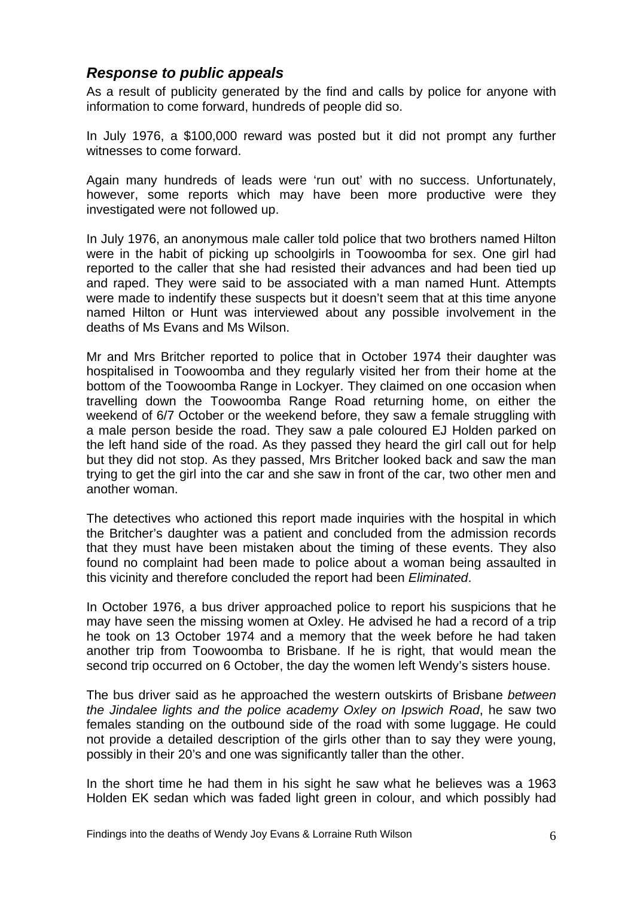#### <span id="page-7-0"></span>*Response to public appeals*

As a result of publicity generated by the find and calls by police for anyone with information to come forward, hundreds of people did so.

In July 1976, a \$100,000 reward was posted but it did not prompt any further witnesses to come forward.

Again many hundreds of leads were 'run out' with no success. Unfortunately, however, some reports which may have been more productive were they investigated were not followed up.

In July 1976, an anonymous male caller told police that two brothers named Hilton were in the habit of picking up schoolgirls in Toowoomba for sex. One girl had reported to the caller that she had resisted their advances and had been tied up and raped. They were said to be associated with a man named Hunt. Attempts were made to indentify these suspects but it doesn't seem that at this time anyone named Hilton or Hunt was interviewed about any possible involvement in the deaths of Ms Evans and Ms Wilson.

Mr and Mrs Britcher reported to police that in October 1974 their daughter was hospitalised in Toowoomba and they regularly visited her from their home at the bottom of the Toowoomba Range in Lockyer. They claimed on one occasion when travelling down the Toowoomba Range Road returning home, on either the weekend of 6/7 October or the weekend before, they saw a female struggling with a male person beside the road. They saw a pale coloured EJ Holden parked on the left hand side of the road. As they passed they heard the girl call out for help but they did not stop. As they passed, Mrs Britcher looked back and saw the man trying to get the girl into the car and she saw in front of the car, two other men and another woman.

The detectives who actioned this report made inquiries with the hospital in which the Britcher's daughter was a patient and concluded from the admission records that they must have been mistaken about the timing of these events. They also found no complaint had been made to police about a woman being assaulted in this vicinity and therefore concluded the report had been *Eliminated*.

In October 1976, a bus driver approached police to report his suspicions that he may have seen the missing women at Oxley. He advised he had a record of a trip he took on 13 October 1974 and a memory that the week before he had taken another trip from Toowoomba to Brisbane. If he is right, that would mean the second trip occurred on 6 October, the day the women left Wendy's sisters house.

The bus driver said as he approached the western outskirts of Brisbane *between the Jindalee lights and the police academy Oxley on Ipswich Road*, he saw two females standing on the outbound side of the road with some luggage. He could not provide a detailed description of the girls other than to say they were young, possibly in their 20's and one was significantly taller than the other.

In the short time he had them in his sight he saw what he believes was a 1963 Holden EK sedan which was faded light green in colour, and which possibly had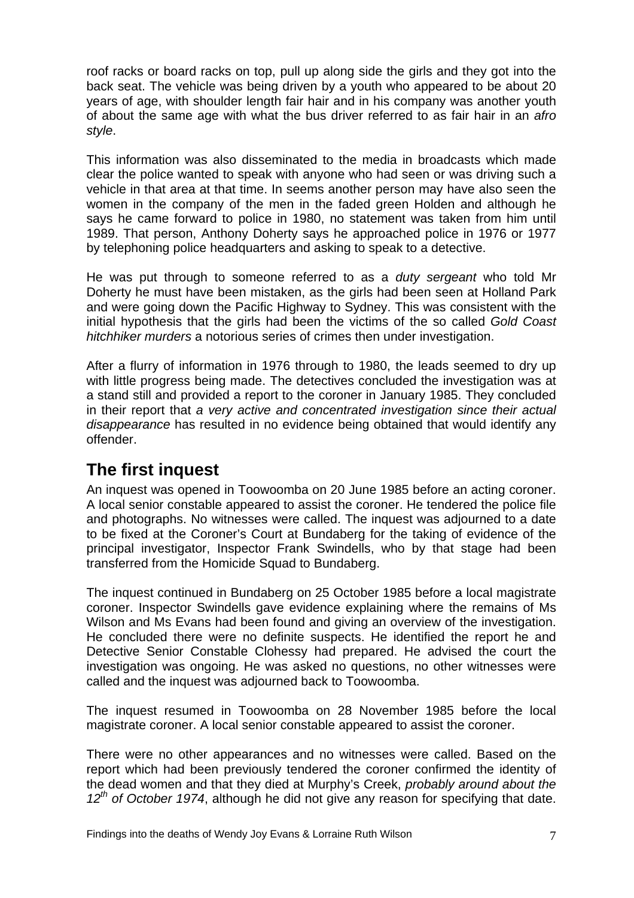<span id="page-8-0"></span>roof racks or board racks on top, pull up along side the girls and they got into the back seat. The vehicle was being driven by a youth who appeared to be about 20 years of age, with shoulder length fair hair and in his company was another youth of about the same age with what the bus driver referred to as fair hair in an *afro style*.

This information was also disseminated to the media in broadcasts which made clear the police wanted to speak with anyone who had seen or was driving such a vehicle in that area at that time. In seems another person may have also seen the women in the company of the men in the faded green Holden and although he says he came forward to police in 1980, no statement was taken from him until 1989. That person, Anthony Doherty says he approached police in 1976 or 1977 by telephoning police headquarters and asking to speak to a detective.

He was put through to someone referred to as a *duty sergeant* who told Mr Doherty he must have been mistaken, as the girls had been seen at Holland Park and were going down the Pacific Highway to Sydney. This was consistent with the initial hypothesis that the girls had been the victims of the so called *Gold Coast hitchhiker murders* a notorious series of crimes then under investigation.

After a flurry of information in 1976 through to 1980, the leads seemed to dry up with little progress being made. The detectives concluded the investigation was at a stand still and provided a report to the coroner in January 1985. They concluded in their report that *a very active and concentrated investigation since their actual disappearance* has resulted in no evidence being obtained that would identify any offender.

# **The first inquest**

An inquest was opened in Toowoomba on 20 June 1985 before an acting coroner. A local senior constable appeared to assist the coroner. He tendered the police file and photographs. No witnesses were called. The inquest was adjourned to a date to be fixed at the Coroner's Court at Bundaberg for the taking of evidence of the principal investigator, Inspector Frank Swindells, who by that stage had been transferred from the Homicide Squad to Bundaberg.

The inquest continued in Bundaberg on 25 October 1985 before a local magistrate coroner. Inspector Swindells gave evidence explaining where the remains of Ms Wilson and Ms Evans had been found and giving an overview of the investigation. He concluded there were no definite suspects. He identified the report he and Detective Senior Constable Clohessy had prepared. He advised the court the investigation was ongoing. He was asked no questions, no other witnesses were called and the inquest was adjourned back to Toowoomba.

The inquest resumed in Toowoomba on 28 November 1985 before the local magistrate coroner. A local senior constable appeared to assist the coroner.

There were no other appearances and no witnesses were called. Based on the report which had been previously tendered the coroner confirmed the identity of the dead women and that they died at Murphy's Creek, *probably around about the*  12<sup>th</sup> of October 1974, although he did not give any reason for specifying that date.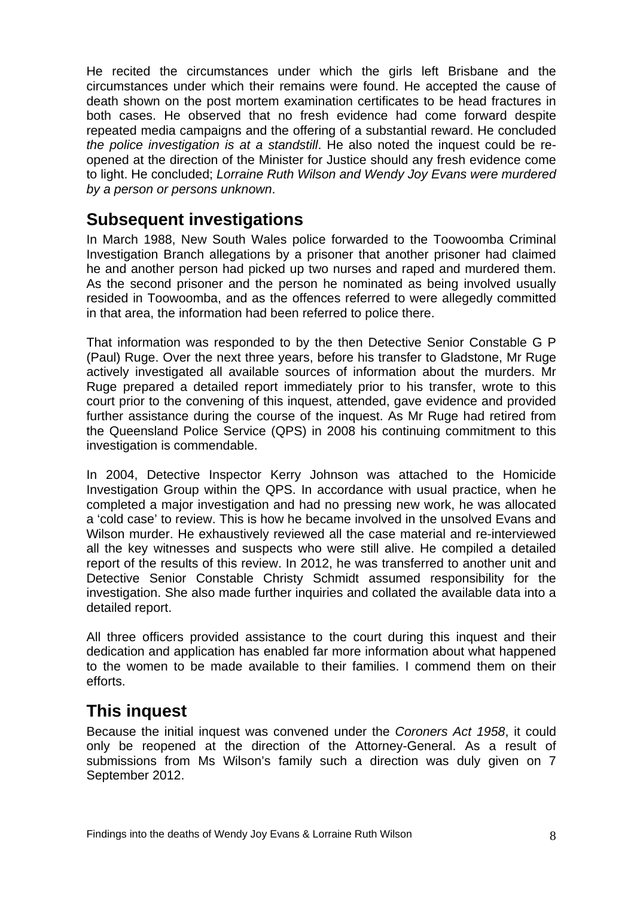<span id="page-9-0"></span>He recited the circumstances under which the girls left Brisbane and the circumstances under which their remains were found. He accepted the cause of death shown on the post mortem examination certificates to be head fractures in both cases. He observed that no fresh evidence had come forward despite repeated media campaigns and the offering of a substantial reward. He concluded *the police investigation is at a standstill*. He also noted the inquest could be reopened at the direction of the Minister for Justice should any fresh evidence come to light. He concluded; *Lorraine Ruth Wilson and Wendy Joy Evans were murdered by a person or persons unknown*.

## **Subsequent investigations**

In March 1988, New South Wales police forwarded to the Toowoomba Criminal Investigation Branch allegations by a prisoner that another prisoner had claimed he and another person had picked up two nurses and raped and murdered them. As the second prisoner and the person he nominated as being involved usually resided in Toowoomba, and as the offences referred to were allegedly committed in that area, the information had been referred to police there.

That information was responded to by the then Detective Senior Constable G P (Paul) Ruge. Over the next three years, before his transfer to Gladstone, Mr Ruge actively investigated all available sources of information about the murders. Mr Ruge prepared a detailed report immediately prior to his transfer, wrote to this court prior to the convening of this inquest, attended, gave evidence and provided further assistance during the course of the inquest. As Mr Ruge had retired from the Queensland Police Service (QPS) in 2008 his continuing commitment to this investigation is commendable.

In 2004, Detective Inspector Kerry Johnson was attached to the Homicide Investigation Group within the QPS. In accordance with usual practice, when he completed a major investigation and had no pressing new work, he was allocated a 'cold case' to review. This is how he became involved in the unsolved Evans and Wilson murder. He exhaustively reviewed all the case material and re-interviewed all the key witnesses and suspects who were still alive. He compiled a detailed report of the results of this review. In 2012, he was transferred to another unit and Detective Senior Constable Christy Schmidt assumed responsibility for the investigation. She also made further inquiries and collated the available data into a detailed report.

All three officers provided assistance to the court during this inquest and their dedication and application has enabled far more information about what happened to the women to be made available to their families. I commend them on their efforts.

# **This inquest**

Because the initial inquest was convened under the *Coroners Act 1958*, it could only be reopened at the direction of the Attorney-General. As a result of submissions from Ms Wilson's family such a direction was duly given on 7 September 2012.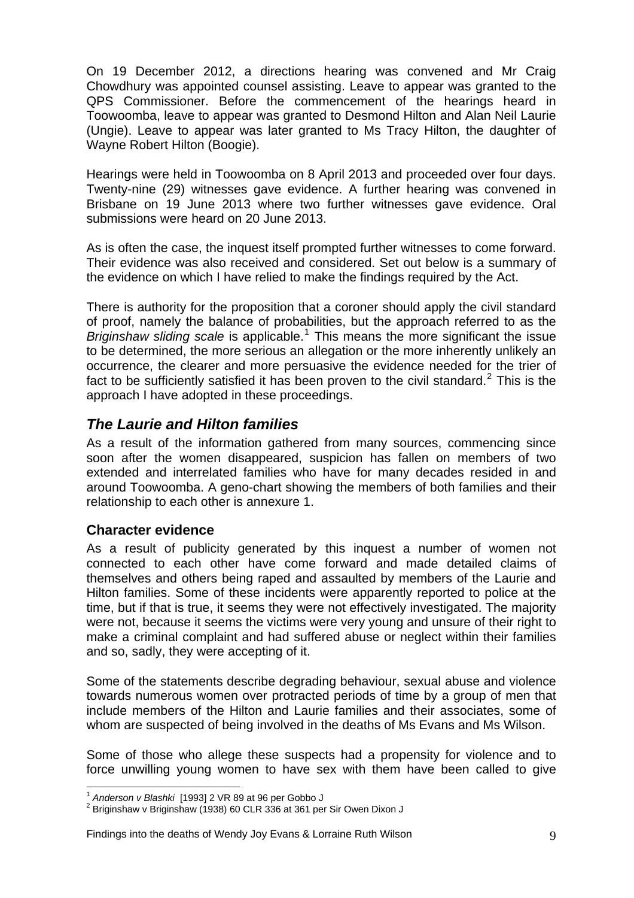<span id="page-10-0"></span>On 19 December 2012, a directions hearing was convened and Mr Craig Chowdhury was appointed counsel assisting. Leave to appear was granted to the QPS Commissioner. Before the commencement of the hearings heard in Toowoomba, leave to appear was granted to Desmond Hilton and Alan Neil Laurie (Ungie). Leave to appear was later granted to Ms Tracy Hilton, the daughter of Wayne Robert Hilton (Boogie).

Hearings were held in Toowoomba on 8 April 2013 and proceeded over four days. Twenty-nine (29) witnesses gave evidence. A further hearing was convened in Brisbane on 19 June 2013 where two further witnesses gave evidence. Oral submissions were heard on 20 June 2013.

As is often the case, the inquest itself prompted further witnesses to come forward. Their evidence was also received and considered. Set out below is a summary of the evidence on which I have relied to make the findings required by the Act.

There is authority for the proposition that a coroner should apply the civil standard of proof, namely the balance of probabilities, but the approach referred to as the Briginshaw sliding scale is applicable.<sup>[1](#page-10-0)</sup> This means the more significant the issue to be determined, the more serious an allegation or the more inherently unlikely an occurrence, the clearer and more persuasive the evidence needed for the trier of fact to be sufficiently satisfied it has been proven to the civil standard.<sup>[2](#page-10-0)</sup> This is the approach I have adopted in these proceedings.

#### *The Laurie and Hilton families*

As a result of the information gathered from many sources, commencing since soon after the women disappeared, suspicion has fallen on members of two extended and interrelated families who have for many decades resided in and around Toowoomba. A geno-chart showing the members of both families and their relationship to each other is annexure 1.

#### **Character evidence**

As a result of publicity generated by this inquest a number of women not connected to each other have come forward and made detailed claims of themselves and others being raped and assaulted by members of the Laurie and Hilton families. Some of these incidents were apparently reported to police at the time, but if that is true, it seems they were not effectively investigated. The majority were not, because it seems the victims were very young and unsure of their right to make a criminal complaint and had suffered abuse or neglect within their families and so, sadly, they were accepting of it.

Some of the statements describe degrading behaviour, sexual abuse and violence towards numerous women over protracted periods of time by a group of men that include members of the Hilton and Laurie families and their associates, some of whom are suspected of being involved in the deaths of Ms Evans and Ms Wilson.

Some of those who allege these suspects had a propensity for violence and to force unwilling young women to have sex with them have been called to give

 $\overline{a}$ <sup>1</sup> Anderson v Blashki [1993] 2 VR 89 at 96 per Gobbo J<br><sup>2</sup> Priginshow v Priginshow (1938) 60 CLB 336 at 361 per

 $2$  Briginshaw v Briginshaw (1938) 60 CLR 336 at 361 per Sir Owen Dixon J

Findings into the deaths of Wendy Joy Evans & Lorraine Ruth Wilson 9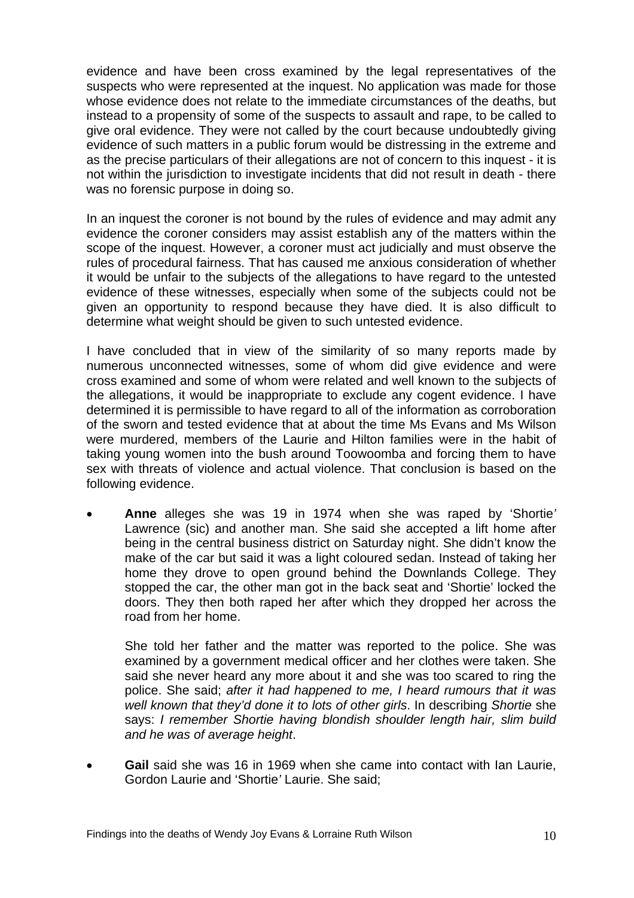evidence and have been cross examined by the legal representatives of the suspects who were represented at the inquest. No application was made for those whose evidence does not relate to the immediate circumstances of the deaths, but instead to a propensity of some of the suspects to assault and rape, to be called to give oral evidence. They were not called by the court because undoubtedly giving evidence of such matters in a public forum would be distressing in the extreme and as the precise particulars of their allegations are not of concern to this inquest - it is not within the jurisdiction to investigate incidents that did not result in death - there was no forensic purpose in doing so.

In an inquest the coroner is not bound by the rules of evidence and may admit any evidence the coroner considers may assist establish any of the matters within the scope of the inquest. However, a coroner must act judicially and must observe the rules of procedural fairness. That has caused me anxious consideration of whether it would be unfair to the subjects of the allegations to have regard to the untested evidence of these witnesses, especially when some of the subjects could not be given an opportunity to respond because they have died. It is also difficult to determine what weight should be given to such untested evidence.

I have concluded that in view of the similarity of so many reports made by numerous unconnected witnesses, some of whom did give evidence and were cross examined and some of whom were related and well known to the subjects of the allegations, it would be inappropriate to exclude any cogent evidence. I have determined it is permissible to have regard to all of the information as corroboration of the sworn and tested evidence that at about the time Ms Evans and Ms Wilson were murdered, members of the Laurie and Hilton families were in the habit of taking young women into the bush around Toowoomba and forcing them to have sex with threats of violence and actual violence. That conclusion is based on the following evidence.

• **Anne** alleges she was 19 in 1974 when she was raped by 'Shortie*'* Lawrence (sic) and another man. She said she accepted a lift home after being in the central business district on Saturday night. She didn't know the make of the car but said it was a light coloured sedan. Instead of taking her home they drove to open ground behind the Downlands College. They stopped the car, the other man got in the back seat and 'Shortie' locked the doors. They then both raped her after which they dropped her across the road from her home.

She told her father and the matter was reported to the police. She was examined by a government medical officer and her clothes were taken. She said she never heard any more about it and she was too scared to ring the police. She said; *after it had happened to me, I heard rumours that it was well known that they'd done it to lots of other girls*. In describing *Shortie* she says: *I remember Shortie having blondish shoulder length hair, slim build and he was of average height*.

• **Gail** said she was 16 in 1969 when she came into contact with Ian Laurie, Gordon Laurie and 'Shortie*'* Laurie. She said;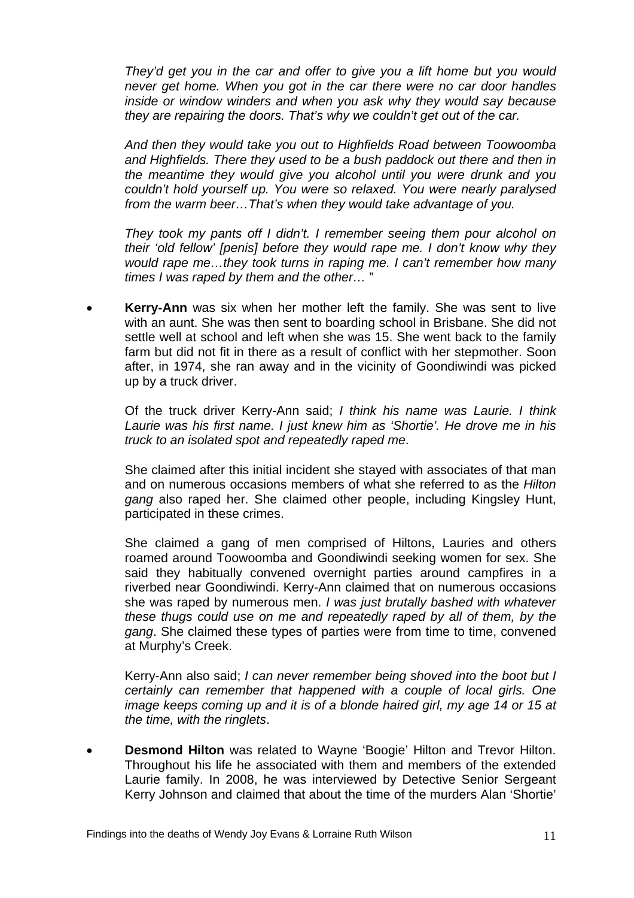*They'd get you in the car and offer to give you a lift home but you would never get home. When you got in the car there were no car door handles inside or window winders and when you ask why they would say because they are repairing the doors. That's why we couldn't get out of the car.* 

*And then they would take you out to Highfields Road between Toowoomba and Highfields. There they used to be a bush paddock out there and then in the meantime they would give you alcohol until you were drunk and you couldn't hold yourself up. You were so relaxed. You were nearly paralysed from the warm beer…That's when they would take advantage of you.* 

*They took my pants off I didn't. I remember seeing them pour alcohol on their 'old fellow' [penis] before they would rape me. I don't know why they would rape me…they took turns in raping me. I can't remember how many times I was raped by them and the other…* "

• **Kerry-Ann** was six when her mother left the family. She was sent to live with an aunt. She was then sent to boarding school in Brisbane. She did not settle well at school and left when she was 15. She went back to the family farm but did not fit in there as a result of conflict with her stepmother. Soon after, in 1974, she ran away and in the vicinity of Goondiwindi was picked up by a truck driver.

Of the truck driver Kerry-Ann said; *I think his name was Laurie. I think Laurie was his first name. I just knew him as 'Shortie'. He drove me in his truck to an isolated spot and repeatedly raped me*.

She claimed after this initial incident she stayed with associates of that man and on numerous occasions members of what she referred to as the *Hilton gang* also raped her. She claimed other people, including Kingsley Hunt, participated in these crimes.

She claimed a gang of men comprised of Hiltons, Lauries and others roamed around Toowoomba and Goondiwindi seeking women for sex. She said they habitually convened overnight parties around campfires in a riverbed near Goondiwindi. Kerry-Ann claimed that on numerous occasions she was raped by numerous men. *I was just brutally bashed with whatever these thugs could use on me and repeatedly raped by all of them, by the gang*. She claimed these types of parties were from time to time, convened at Murphy's Creek.

Kerry-Ann also said; *I can never remember being shoved into the boot but I certainly can remember that happened with a couple of local girls. One image keeps coming up and it is of a blonde haired girl, my age 14 or 15 at the time, with the ringlets*.

• **Desmond Hilton** was related to Wayne 'Boogie' Hilton and Trevor Hilton. Throughout his life he associated with them and members of the extended Laurie family. In 2008, he was interviewed by Detective Senior Sergeant Kerry Johnson and claimed that about the time of the murders Alan 'Shortie'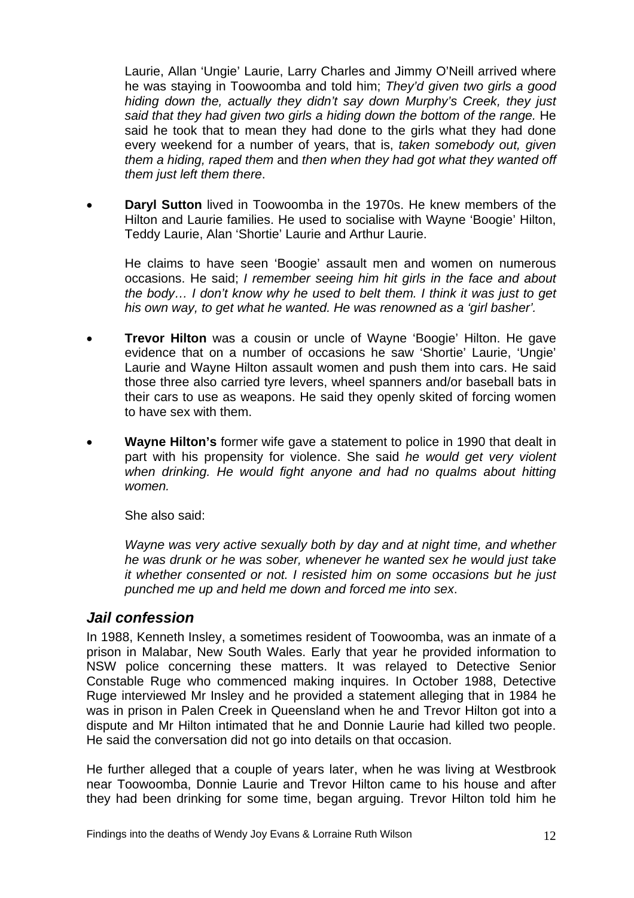<span id="page-13-0"></span>Laurie, Allan 'Ungie' Laurie, Larry Charles and Jimmy O'Neill arrived where he was staying in Toowoomba and told him; *They'd given two girls a good hiding down the, actually they didn't say down Murphy's Creek, they just said that they had given two girls a hiding down the bottom of the range.* He said he took that to mean they had done to the girls what they had done every weekend for a number of years, that is, *taken somebody out, given them a hiding, raped them* and *then when they had got what they wanted off them just left them there*.

• **Daryl Sutton** lived in Toowoomba in the 1970s. He knew members of the Hilton and Laurie families. He used to socialise with Wayne 'Boogie' Hilton, Teddy Laurie, Alan 'Shortie' Laurie and Arthur Laurie.

He claims to have seen 'Boogie' assault men and women on numerous occasions. He said; *I remember seeing him hit girls in the face and about the body… I don't know why he used to belt them. I think it was just to get his own way, to get what he wanted. He was renowned as a 'girl basher'.* 

- **Trevor Hilton** was a cousin or uncle of Wayne 'Boogie' Hilton. He gave evidence that on a number of occasions he saw 'Shortie' Laurie, 'Ungie' Laurie and Wayne Hilton assault women and push them into cars. He said those three also carried tyre levers, wheel spanners and/or baseball bats in their cars to use as weapons. He said they openly skited of forcing women to have sex with them.
- **Wayne Hilton's** former wife gave a statement to police in 1990 that dealt in part with his propensity for violence. She said *he would get very violent when drinking. He would fight anyone and had no qualms about hitting women.*

She also said:

*Wayne was very active sexually both by day and at night time, and whether he was drunk or he was sober, whenever he wanted sex he would just take it whether consented or not. I resisted him on some occasions but he just punched me up and held me down and forced me into sex*.

#### *Jail confession*

In 1988, Kenneth Insley, a sometimes resident of Toowoomba, was an inmate of a prison in Malabar, New South Wales. Early that year he provided information to NSW police concerning these matters. It was relayed to Detective Senior Constable Ruge who commenced making inquires. In October 1988, Detective Ruge interviewed Mr Insley and he provided a statement alleging that in 1984 he was in prison in Palen Creek in Queensland when he and Trevor Hilton got into a dispute and Mr Hilton intimated that he and Donnie Laurie had killed two people. He said the conversation did not go into details on that occasion.

He further alleged that a couple of years later, when he was living at Westbrook near Toowoomba, Donnie Laurie and Trevor Hilton came to his house and after they had been drinking for some time, began arguing. Trevor Hilton told him he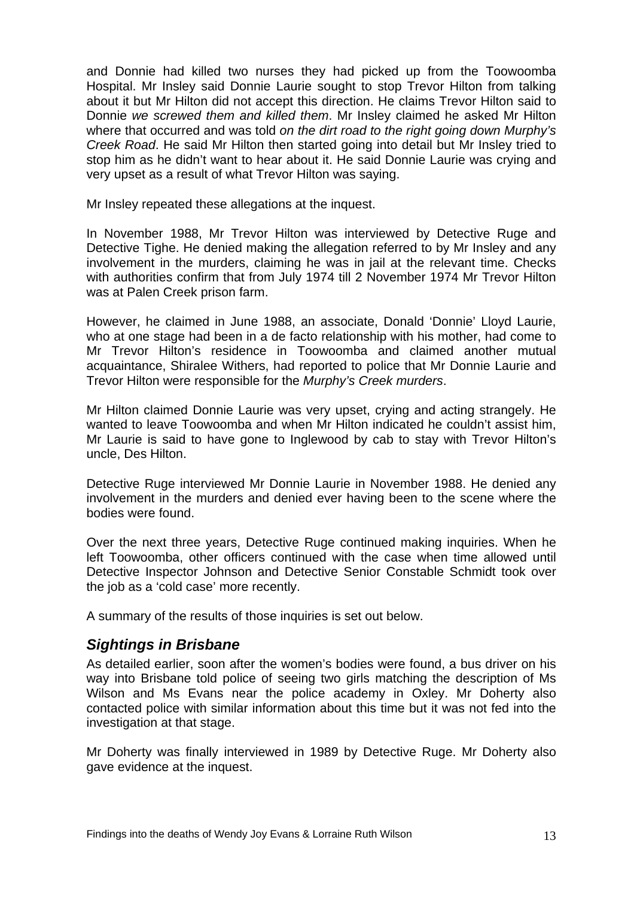<span id="page-14-0"></span>and Donnie had killed two nurses they had picked up from the Toowoomba Hospital. Mr Insley said Donnie Laurie sought to stop Trevor Hilton from talking about it but Mr Hilton did not accept this direction. He claims Trevor Hilton said to Donnie *we screwed them and killed them*. Mr Insley claimed he asked Mr Hilton where that occurred and was told *on the dirt road to the right going down Murphy's Creek Road*. He said Mr Hilton then started going into detail but Mr Insley tried to stop him as he didn't want to hear about it. He said Donnie Laurie was crying and very upset as a result of what Trevor Hilton was saying.

Mr Insley repeated these allegations at the inquest.

In November 1988, Mr Trevor Hilton was interviewed by Detective Ruge and Detective Tighe. He denied making the allegation referred to by Mr Insley and any involvement in the murders, claiming he was in jail at the relevant time. Checks with authorities confirm that from July 1974 till 2 November 1974 Mr Trevor Hilton was at Palen Creek prison farm.

However, he claimed in June 1988, an associate, Donald 'Donnie' Lloyd Laurie, who at one stage had been in a de facto relationship with his mother, had come to Mr Trevor Hilton's residence in Toowoomba and claimed another mutual acquaintance, Shiralee Withers, had reported to police that Mr Donnie Laurie and Trevor Hilton were responsible for the *Murphy's Creek murders*.

Mr Hilton claimed Donnie Laurie was very upset, crying and acting strangely. He wanted to leave Toowoomba and when Mr Hilton indicated he couldn't assist him, Mr Laurie is said to have gone to Inglewood by cab to stay with Trevor Hilton's uncle, Des Hilton.

Detective Ruge interviewed Mr Donnie Laurie in November 1988. He denied any involvement in the murders and denied ever having been to the scene where the bodies were found.

Over the next three years, Detective Ruge continued making inquiries. When he left Toowoomba, other officers continued with the case when time allowed until Detective Inspector Johnson and Detective Senior Constable Schmidt took over the job as a 'cold case' more recently.

A summary of the results of those inquiries is set out below.

#### *Sightings in Brisbane*

As detailed earlier, soon after the women's bodies were found, a bus driver on his way into Brisbane told police of seeing two girls matching the description of Ms Wilson and Ms Evans near the police academy in Oxley. Mr Doherty also contacted police with similar information about this time but it was not fed into the investigation at that stage.

Mr Doherty was finally interviewed in 1989 by Detective Ruge. Mr Doherty also gave evidence at the inquest.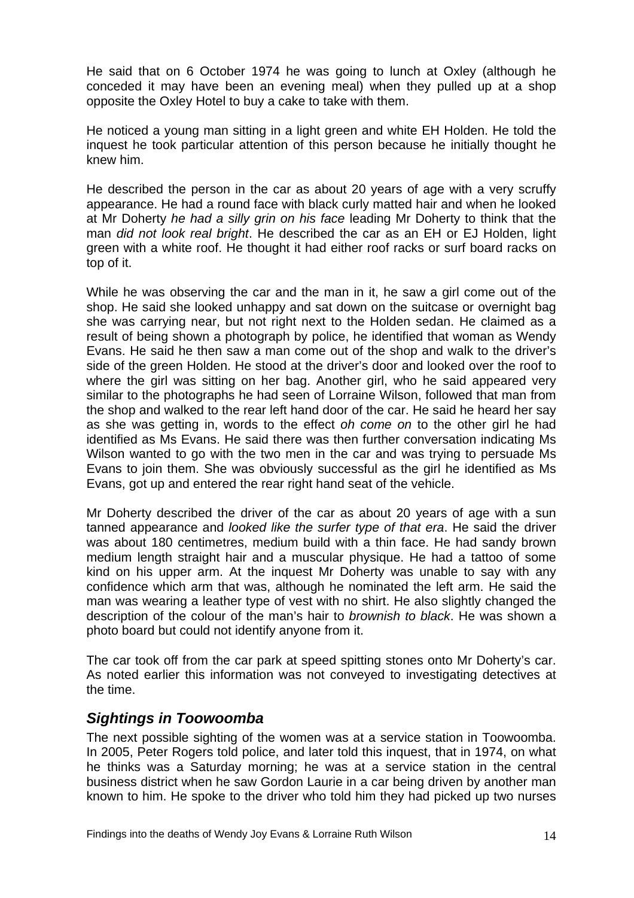<span id="page-15-0"></span>He said that on 6 October 1974 he was going to lunch at Oxley (although he conceded it may have been an evening meal) when they pulled up at a shop opposite the Oxley Hotel to buy a cake to take with them.

He noticed a young man sitting in a light green and white EH Holden. He told the inquest he took particular attention of this person because he initially thought he knew him.

He described the person in the car as about 20 years of age with a very scruffy appearance. He had a round face with black curly matted hair and when he looked at Mr Doherty *he had a silly grin on his face* leading Mr Doherty to think that the man *did not look real bright*. He described the car as an EH or EJ Holden, light green with a white roof. He thought it had either roof racks or surf board racks on top of it.

While he was observing the car and the man in it, he saw a girl come out of the shop. He said she looked unhappy and sat down on the suitcase or overnight bag she was carrying near, but not right next to the Holden sedan. He claimed as a result of being shown a photograph by police, he identified that woman as Wendy Evans. He said he then saw a man come out of the shop and walk to the driver's side of the green Holden. He stood at the driver's door and looked over the roof to where the girl was sitting on her bag. Another girl, who he said appeared very similar to the photographs he had seen of Lorraine Wilson, followed that man from the shop and walked to the rear left hand door of the car. He said he heard her say as she was getting in, words to the effect *oh come on* to the other girl he had identified as Ms Evans. He said there was then further conversation indicating Ms Wilson wanted to go with the two men in the car and was trying to persuade Ms Evans to join them. She was obviously successful as the girl he identified as Ms Evans, got up and entered the rear right hand seat of the vehicle.

Mr Doherty described the driver of the car as about 20 years of age with a sun tanned appearance and *looked like the surfer type of that era*. He said the driver was about 180 centimetres, medium build with a thin face. He had sandy brown medium length straight hair and a muscular physique. He had a tattoo of some kind on his upper arm. At the inquest Mr Doherty was unable to say with any confidence which arm that was, although he nominated the left arm. He said the man was wearing a leather type of vest with no shirt. He also slightly changed the description of the colour of the man's hair to *brownish to black*. He was shown a photo board but could not identify anyone from it.

The car took off from the car park at speed spitting stones onto Mr Doherty's car. As noted earlier this information was not conveyed to investigating detectives at the time.

#### *Sightings in Toowoomba*

The next possible sighting of the women was at a service station in Toowoomba. In 2005, Peter Rogers told police, and later told this inquest, that in 1974, on what he thinks was a Saturday morning; he was at a service station in the central business district when he saw Gordon Laurie in a car being driven by another man known to him. He spoke to the driver who told him they had picked up two nurses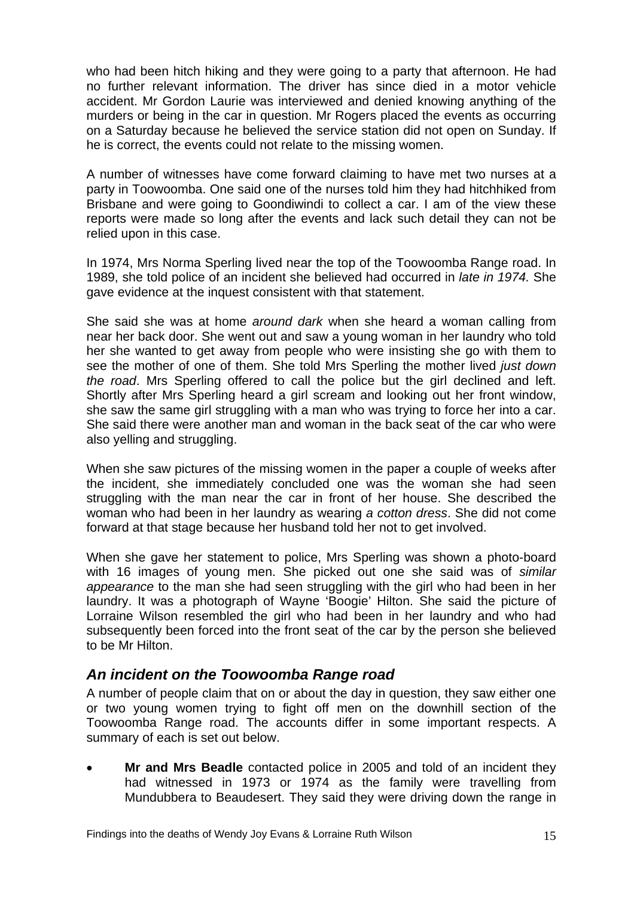<span id="page-16-0"></span>who had been hitch hiking and they were going to a party that afternoon. He had no further relevant information. The driver has since died in a motor vehicle accident. Mr Gordon Laurie was interviewed and denied knowing anything of the murders or being in the car in question. Mr Rogers placed the events as occurring on a Saturday because he believed the service station did not open on Sunday. If he is correct, the events could not relate to the missing women.

A number of witnesses have come forward claiming to have met two nurses at a party in Toowoomba. One said one of the nurses told him they had hitchhiked from Brisbane and were going to Goondiwindi to collect a car. I am of the view these reports were made so long after the events and lack such detail they can not be relied upon in this case.

In 1974, Mrs Norma Sperling lived near the top of the Toowoomba Range road. In 1989, she told police of an incident she believed had occurred in *late in 1974.* She gave evidence at the inquest consistent with that statement.

She said she was at home *around dark* when she heard a woman calling from near her back door. She went out and saw a young woman in her laundry who told her she wanted to get away from people who were insisting she go with them to see the mother of one of them. She told Mrs Sperling the mother lived *just down the road*. Mrs Sperling offered to call the police but the girl declined and left. Shortly after Mrs Sperling heard a girl scream and looking out her front window, she saw the same girl struggling with a man who was trying to force her into a car. She said there were another man and woman in the back seat of the car who were also yelling and struggling.

When she saw pictures of the missing women in the paper a couple of weeks after the incident, she immediately concluded one was the woman she had seen struggling with the man near the car in front of her house. She described the woman who had been in her laundry as wearing *a cotton dress*. She did not come forward at that stage because her husband told her not to get involved.

When she gave her statement to police, Mrs Sperling was shown a photo-board with 16 images of young men. She picked out one she said was of *similar appearance* to the man she had seen struggling with the girl who had been in her laundry. It was a photograph of Wayne 'Boogie' Hilton. She said the picture of Lorraine Wilson resembled the girl who had been in her laundry and who had subsequently been forced into the front seat of the car by the person she believed to be Mr Hilton.

#### *An incident on the Toowoomba Range road*

A number of people claim that on or about the day in question, they saw either one or two young women trying to fight off men on the downhill section of the Toowoomba Range road. The accounts differ in some important respects. A summary of each is set out below.

• **Mr and Mrs Beadle** contacted police in 2005 and told of an incident they had witnessed in 1973 or 1974 as the family were travelling from Mundubbera to Beaudesert. They said they were driving down the range in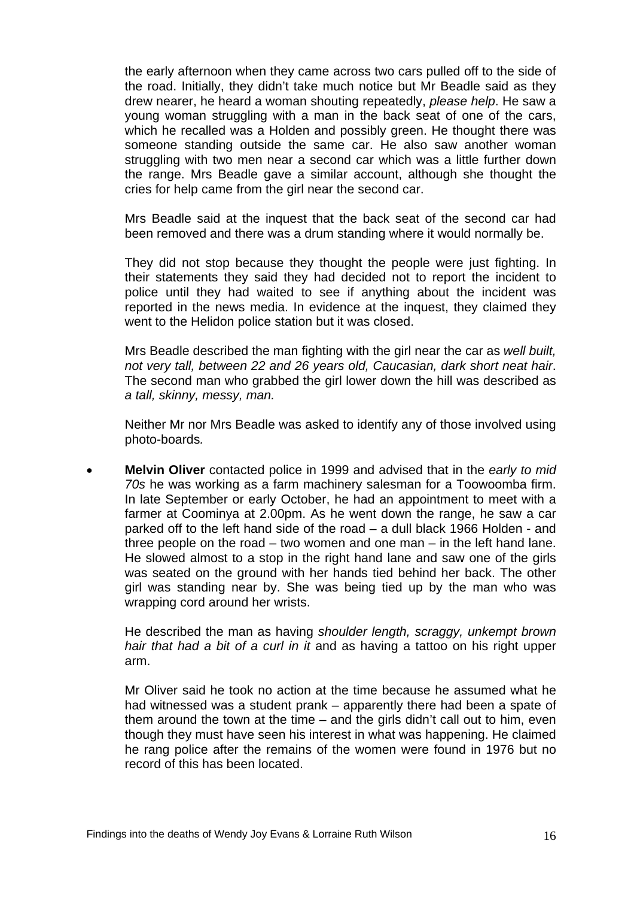the early afternoon when they came across two cars pulled off to the side of the road. Initially, they didn't take much notice but Mr Beadle said as they drew nearer, he heard a woman shouting repeatedly, *please help*. He saw a young woman struggling with a man in the back seat of one of the cars, which he recalled was a Holden and possibly green. He thought there was someone standing outside the same car. He also saw another woman struggling with two men near a second car which was a little further down the range. Mrs Beadle gave a similar account, although she thought the cries for help came from the girl near the second car.

Mrs Beadle said at the inquest that the back seat of the second car had been removed and there was a drum standing where it would normally be.

They did not stop because they thought the people were just fighting. In their statements they said they had decided not to report the incident to police until they had waited to see if anything about the incident was reported in the news media. In evidence at the inquest, they claimed they went to the Helidon police station but it was closed.

Mrs Beadle described the man fighting with the girl near the car as *well built, not very tall, between 22 and 26 years old, Caucasian, dark short neat hair*. The second man who grabbed the girl lower down the hill was described as *a tall, skinny, messy, man.* 

Neither Mr nor Mrs Beadle was asked to identify any of those involved using photo-boards*.*

• **Melvin Oliver** contacted police in 1999 and advised that in the *early to mid 70s* he was working as a farm machinery salesman for a Toowoomba firm. In late September or early October, he had an appointment to meet with a farmer at Coominya at 2.00pm. As he went down the range, he saw a car parked off to the left hand side of the road – a dull black 1966 Holden - and three people on the road – two women and one man – in the left hand lane. He slowed almost to a stop in the right hand lane and saw one of the girls was seated on the ground with her hands tied behind her back. The other girl was standing near by. She was being tied up by the man who was wrapping cord around her wrists.

He described the man as having *shoulder length, scraggy, unkempt brown hair that had a bit of a curl in it* and as having a tattoo on his right upper arm.

Mr Oliver said he took no action at the time because he assumed what he had witnessed was a student prank – apparently there had been a spate of them around the town at the time – and the girls didn't call out to him, even though they must have seen his interest in what was happening. He claimed he rang police after the remains of the women were found in 1976 but no record of this has been located.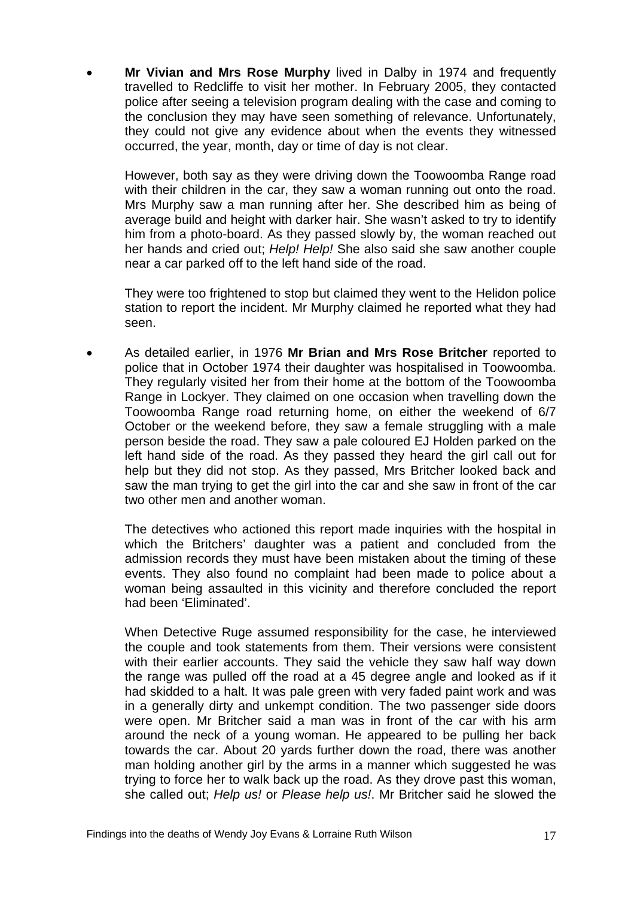• **Mr Vivian and Mrs Rose Murphy** lived in Dalby in 1974 and frequently travelled to Redcliffe to visit her mother. In February 2005, they contacted police after seeing a television program dealing with the case and coming to the conclusion they may have seen something of relevance. Unfortunately, they could not give any evidence about when the events they witnessed occurred, the year, month, day or time of day is not clear.

However, both say as they were driving down the Toowoomba Range road with their children in the car, they saw a woman running out onto the road. Mrs Murphy saw a man running after her. She described him as being of average build and height with darker hair. She wasn't asked to try to identify him from a photo-board. As they passed slowly by, the woman reached out her hands and cried out; *Help! Help!* She also said she saw another couple near a car parked off to the left hand side of the road.

They were too frightened to stop but claimed they went to the Helidon police station to report the incident. Mr Murphy claimed he reported what they had seen.

• As detailed earlier, in 1976 **Mr Brian and Mrs Rose Britcher** reported to police that in October 1974 their daughter was hospitalised in Toowoomba. They regularly visited her from their home at the bottom of the Toowoomba Range in Lockyer. They claimed on one occasion when travelling down the Toowoomba Range road returning home, on either the weekend of 6/7 October or the weekend before, they saw a female struggling with a male person beside the road. They saw a pale coloured EJ Holden parked on the left hand side of the road. As they passed they heard the girl call out for help but they did not stop. As they passed, Mrs Britcher looked back and saw the man trying to get the girl into the car and she saw in front of the car two other men and another woman.

The detectives who actioned this report made inquiries with the hospital in which the Britchers' daughter was a patient and concluded from the admission records they must have been mistaken about the timing of these events. They also found no complaint had been made to police about a woman being assaulted in this vicinity and therefore concluded the report had been 'Eliminated'.

When Detective Ruge assumed responsibility for the case, he interviewed the couple and took statements from them. Their versions were consistent with their earlier accounts. They said the vehicle they saw half way down the range was pulled off the road at a 45 degree angle and looked as if it had skidded to a halt. It was pale green with very faded paint work and was in a generally dirty and unkempt condition. The two passenger side doors were open. Mr Britcher said a man was in front of the car with his arm around the neck of a young woman. He appeared to be pulling her back towards the car. About 20 yards further down the road, there was another man holding another girl by the arms in a manner which suggested he was trying to force her to walk back up the road. As they drove past this woman, she called out; *Help us!* or *Please help us!*. Mr Britcher said he slowed the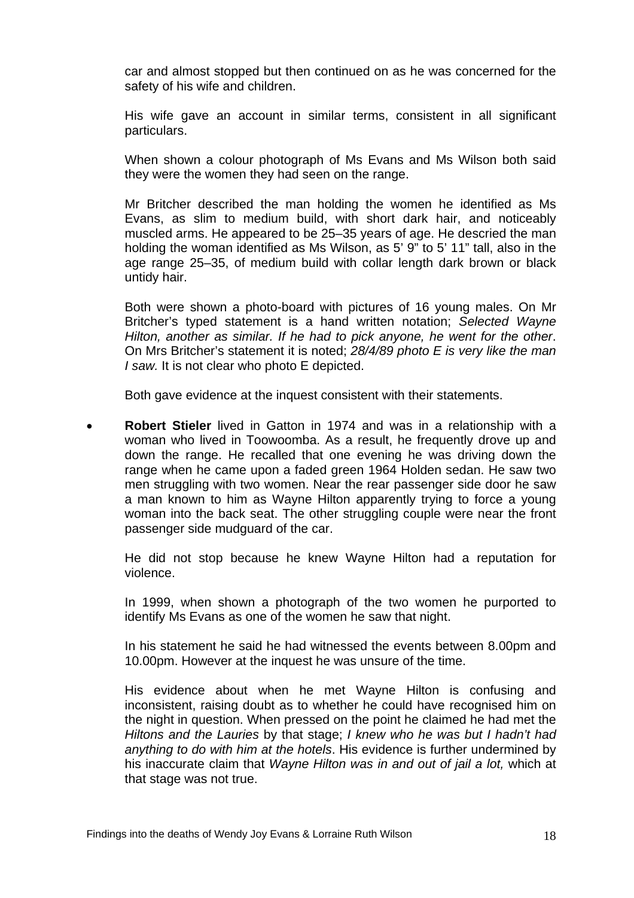car and almost stopped but then continued on as he was concerned for the safety of his wife and children.

His wife gave an account in similar terms, consistent in all significant particulars.

When shown a colour photograph of Ms Evans and Ms Wilson both said they were the women they had seen on the range.

Mr Britcher described the man holding the women he identified as Ms Evans, as slim to medium build, with short dark hair, and noticeably muscled arms. He appeared to be 25–35 years of age. He descried the man holding the woman identified as Ms Wilson, as 5' 9" to 5' 11" tall, also in the age range 25–35, of medium build with collar length dark brown or black untidy hair.

Both were shown a photo-board with pictures of 16 young males. On Mr Britcher's typed statement is a hand written notation; *Selected Wayne Hilton, another as similar. If he had to pick anyone, he went for the other*. On Mrs Britcher's statement it is noted; *28/4/89 photo E is very like the man I saw.* It is not clear who photo E depicted.

Both gave evidence at the inquest consistent with their statements.

• **Robert Stieler** lived in Gatton in 1974 and was in a relationship with a woman who lived in Toowoomba. As a result, he frequently drove up and down the range. He recalled that one evening he was driving down the range when he came upon a faded green 1964 Holden sedan. He saw two men struggling with two women. Near the rear passenger side door he saw a man known to him as Wayne Hilton apparently trying to force a young woman into the back seat. The other struggling couple were near the front passenger side mudguard of the car.

He did not stop because he knew Wayne Hilton had a reputation for violence.

In 1999, when shown a photograph of the two women he purported to identify Ms Evans as one of the women he saw that night.

In his statement he said he had witnessed the events between 8.00pm and 10.00pm. However at the inquest he was unsure of the time.

His evidence about when he met Wayne Hilton is confusing and inconsistent, raising doubt as to whether he could have recognised him on the night in question. When pressed on the point he claimed he had met the *Hiltons and the Lauries* by that stage; *I knew who he was but I hadn't had anything to do with him at the hotels*. His evidence is further undermined by his inaccurate claim that *Wayne Hilton was in and out of jail a lot,* which at that stage was not true.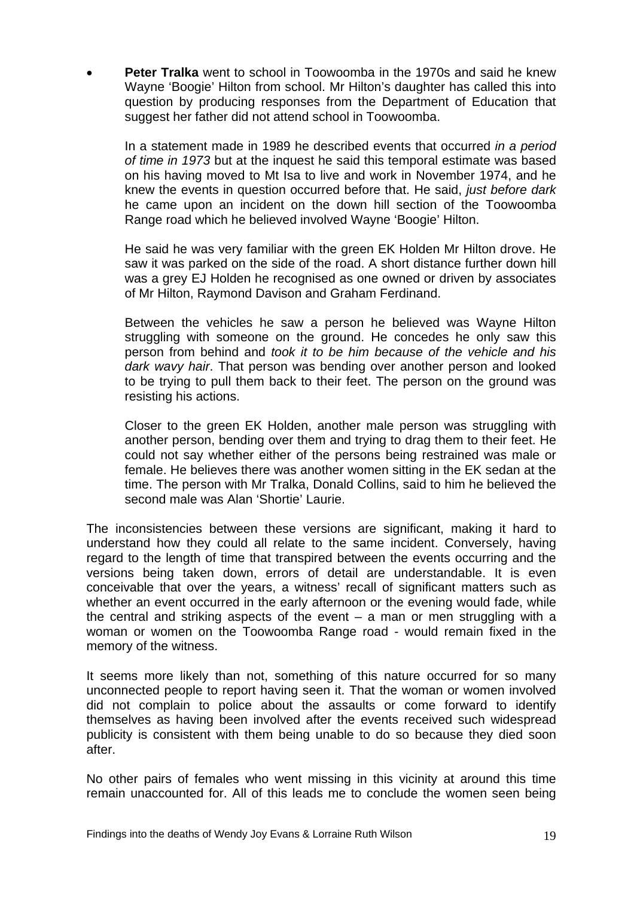**Peter Tralka** went to school in Toowoomba in the 1970s and said he knew Wayne 'Boogie' Hilton from school. Mr Hilton's daughter has called this into question by producing responses from the Department of Education that suggest her father did not attend school in Toowoomba.

In a statement made in 1989 he described events that occurred *in a period of time in 1973* but at the inquest he said this temporal estimate was based on his having moved to Mt Isa to live and work in November 1974, and he knew the events in question occurred before that. He said, *just before dark* he came upon an incident on the down hill section of the Toowoomba Range road which he believed involved Wayne 'Boogie' Hilton.

He said he was very familiar with the green EK Holden Mr Hilton drove. He saw it was parked on the side of the road. A short distance further down hill was a grey EJ Holden he recognised as one owned or driven by associates of Mr Hilton, Raymond Davison and Graham Ferdinand.

Between the vehicles he saw a person he believed was Wayne Hilton struggling with someone on the ground. He concedes he only saw this person from behind and *took it to be him because of the vehicle and his dark wavy hair*. That person was bending over another person and looked to be trying to pull them back to their feet. The person on the ground was resisting his actions.

Closer to the green EK Holden, another male person was struggling with another person, bending over them and trying to drag them to their feet. He could not say whether either of the persons being restrained was male or female. He believes there was another women sitting in the EK sedan at the time. The person with Mr Tralka, Donald Collins, said to him he believed the second male was Alan 'Shortie' Laurie.

The inconsistencies between these versions are significant, making it hard to understand how they could all relate to the same incident. Conversely, having regard to the length of time that transpired between the events occurring and the versions being taken down, errors of detail are understandable. It is even conceivable that over the years, a witness' recall of significant matters such as whether an event occurred in the early afternoon or the evening would fade, while the central and striking aspects of the event  $-$  a man or men struggling with a woman or women on the Toowoomba Range road - would remain fixed in the memory of the witness.

It seems more likely than not, something of this nature occurred for so many unconnected people to report having seen it. That the woman or women involved did not complain to police about the assaults or come forward to identify themselves as having been involved after the events received such widespread publicity is consistent with them being unable to do so because they died soon after.

No other pairs of females who went missing in this vicinity at around this time remain unaccounted for. All of this leads me to conclude the women seen being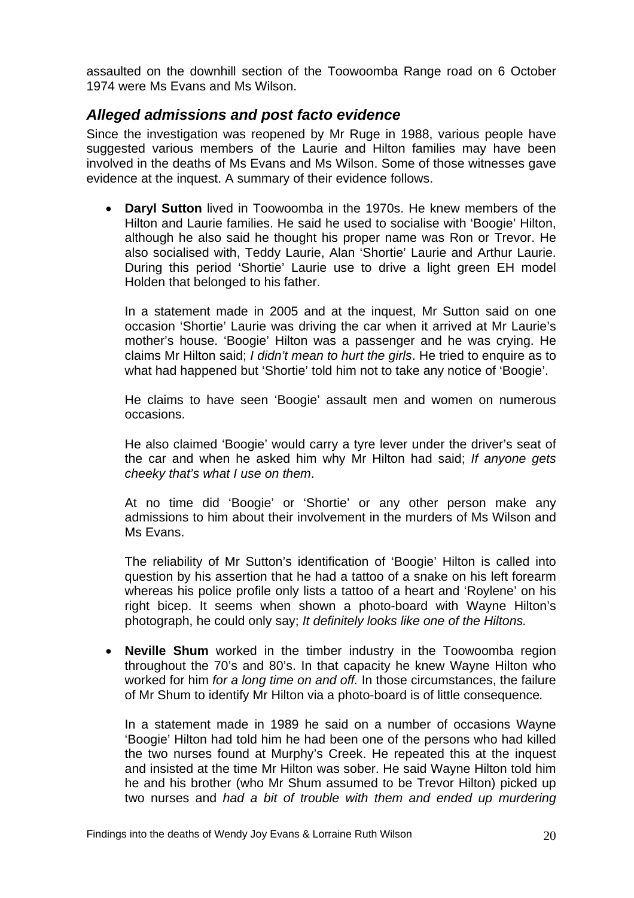<span id="page-21-0"></span>assaulted on the downhill section of the Toowoomba Range road on 6 October 1974 were Ms Evans and Ms Wilson.

#### *Alleged admissions and post facto evidence*

Since the investigation was reopened by Mr Ruge in 1988, various people have suggested various members of the Laurie and Hilton families may have been involved in the deaths of Ms Evans and Ms Wilson. Some of those witnesses gave evidence at the inquest. A summary of their evidence follows.

• **Daryl Sutton** lived in Toowoomba in the 1970s. He knew members of the Hilton and Laurie families. He said he used to socialise with 'Boogie' Hilton, although he also said he thought his proper name was Ron or Trevor. He also socialised with, Teddy Laurie, Alan 'Shortie' Laurie and Arthur Laurie. During this period 'Shortie' Laurie use to drive a light green EH model Holden that belonged to his father.

In a statement made in 2005 and at the inquest, Mr Sutton said on one occasion 'Shortie' Laurie was driving the car when it arrived at Mr Laurie's mother's house. 'Boogie' Hilton was a passenger and he was crying. He claims Mr Hilton said; *I didn't mean to hurt the girls*. He tried to enquire as to what had happened but 'Shortie' told him not to take any notice of 'Boogie'.

He claims to have seen 'Boogie' assault men and women on numerous occasions.

He also claimed 'Boogie' would carry a tyre lever under the driver's seat of the car and when he asked him why Mr Hilton had said; *If anyone gets cheeky that's what I use on them*.

At no time did 'Boogie' or 'Shortie' or any other person make any admissions to him about their involvement in the murders of Ms Wilson and Ms Evans.

The reliability of Mr Sutton's identification of 'Boogie' Hilton is called into question by his assertion that he had a tattoo of a snake on his left forearm whereas his police profile only lists a tattoo of a heart and 'Roylene' on his right bicep. It seems when shown a photo-board with Wayne Hilton's photograph, he could only say; *It definitely looks like one of the Hiltons.* 

• **Neville Shum** worked in the timber industry in the Toowoomba region throughout the 70's and 80's. In that capacity he knew Wayne Hilton who worked for him *for a long time on and off.* In those circumstances, the failure of Mr Shum to identify Mr Hilton via a photo-board is of little consequence*.*

In a statement made in 1989 he said on a number of occasions Wayne 'Boogie' Hilton had told him he had been one of the persons who had killed the two nurses found at Murphy's Creek. He repeated this at the inquest and insisted at the time Mr Hilton was sober. He said Wayne Hilton told him he and his brother (who Mr Shum assumed to be Trevor Hilton) picked up two nurses and *had a bit of trouble with them and ended up murdering*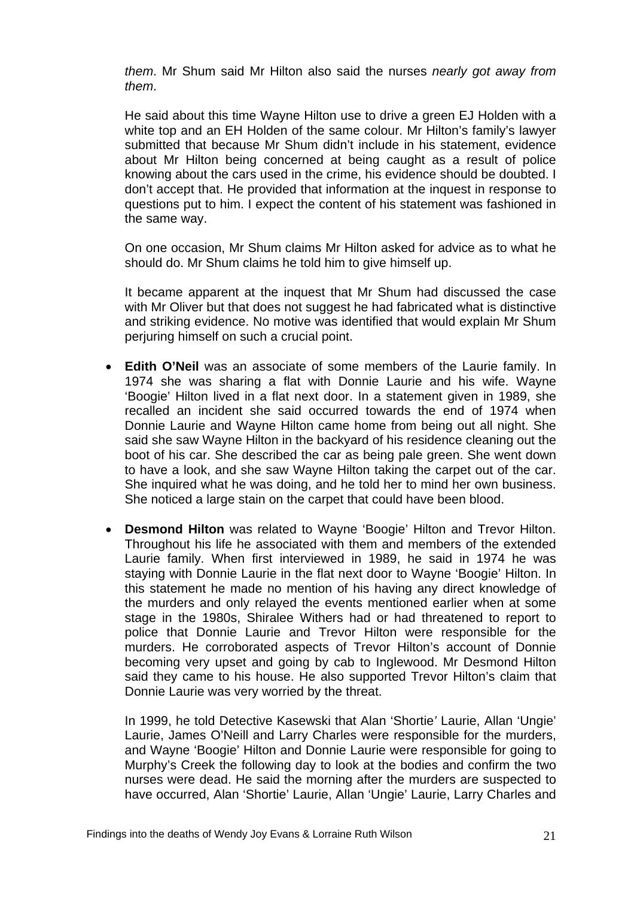*them*. Mr Shum said Mr Hilton also said the nurses *nearly got away from them*.

He said about this time Wayne Hilton use to drive a green EJ Holden with a white top and an EH Holden of the same colour. Mr Hilton's family's lawyer submitted that because Mr Shum didn't include in his statement, evidence about Mr Hilton being concerned at being caught as a result of police knowing about the cars used in the crime, his evidence should be doubted. I don't accept that. He provided that information at the inquest in response to questions put to him. I expect the content of his statement was fashioned in the same way.

On one occasion, Mr Shum claims Mr Hilton asked for advice as to what he should do. Mr Shum claims he told him to give himself up.

It became apparent at the inquest that Mr Shum had discussed the case with Mr Oliver but that does not suggest he had fabricated what is distinctive and striking evidence. No motive was identified that would explain Mr Shum perjuring himself on such a crucial point.

- **Edith O'Neil** was an associate of some members of the Laurie family. In 1974 she was sharing a flat with Donnie Laurie and his wife. Wayne 'Boogie' Hilton lived in a flat next door. In a statement given in 1989, she recalled an incident she said occurred towards the end of 1974 when Donnie Laurie and Wayne Hilton came home from being out all night. She said she saw Wayne Hilton in the backyard of his residence cleaning out the boot of his car. She described the car as being pale green. She went down to have a look, and she saw Wayne Hilton taking the carpet out of the car. She inquired what he was doing, and he told her to mind her own business. She noticed a large stain on the carpet that could have been blood.
- **Desmond Hilton** was related to Wayne 'Boogie' Hilton and Trevor Hilton. Throughout his life he associated with them and members of the extended Laurie family. When first interviewed in 1989, he said in 1974 he was staying with Donnie Laurie in the flat next door to Wayne 'Boogie' Hilton. In this statement he made no mention of his having any direct knowledge of the murders and only relayed the events mentioned earlier when at some stage in the 1980s, Shiralee Withers had or had threatened to report to police that Donnie Laurie and Trevor Hilton were responsible for the murders. He corroborated aspects of Trevor Hilton's account of Donnie becoming very upset and going by cab to Inglewood. Mr Desmond Hilton said they came to his house. He also supported Trevor Hilton's claim that Donnie Laurie was very worried by the threat.

In 1999, he told Detective Kasewski that Alan 'Shortie*'* Laurie, Allan 'Ungie' Laurie, James O'Neill and Larry Charles were responsible for the murders, and Wayne 'Boogie' Hilton and Donnie Laurie were responsible for going to Murphy's Creek the following day to look at the bodies and confirm the two nurses were dead. He said the morning after the murders are suspected to have occurred, Alan 'Shortie' Laurie, Allan 'Ungie' Laurie, Larry Charles and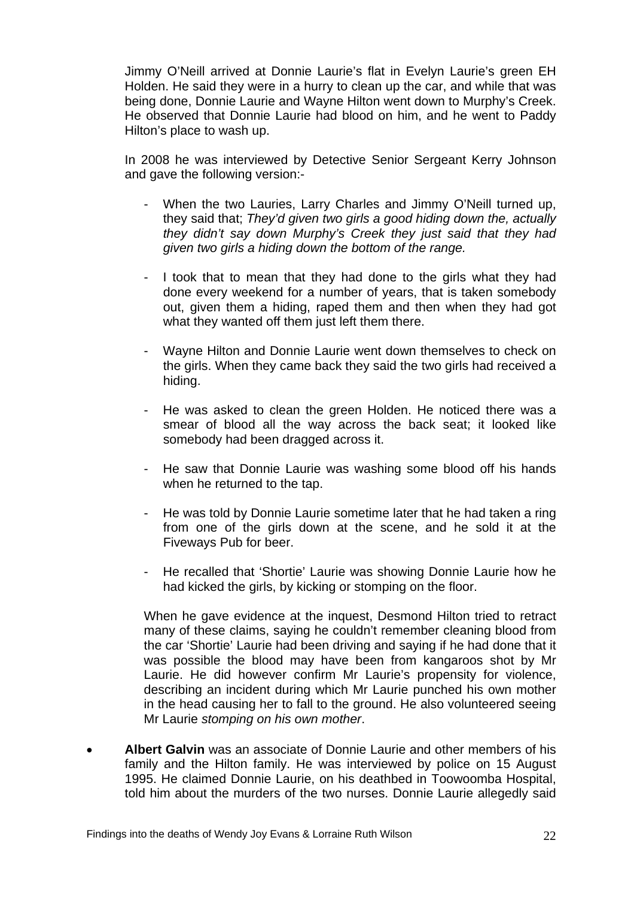Jimmy O'Neill arrived at Donnie Laurie's flat in Evelyn Laurie's green EH Holden. He said they were in a hurry to clean up the car, and while that was being done, Donnie Laurie and Wayne Hilton went down to Murphy's Creek. He observed that Donnie Laurie had blood on him, and he went to Paddy Hilton's place to wash up.

In 2008 he was interviewed by Detective Senior Sergeant Kerry Johnson and gave the following version:-

- When the two Lauries, Larry Charles and Jimmy O'Neill turned up, they said that; *They'd given two girls a good hiding down the, actually they didn't say down Murphy's Creek they just said that they had given two girls a hiding down the bottom of the range.*
- I took that to mean that they had done to the girls what they had done every weekend for a number of years, that is taken somebody out, given them a hiding, raped them and then when they had got what they wanted off them just left them there.
- Wayne Hilton and Donnie Laurie went down themselves to check on the girls. When they came back they said the two girls had received a hiding.
- He was asked to clean the green Holden. He noticed there was a smear of blood all the way across the back seat; it looked like somebody had been dragged across it.
- He saw that Donnie Laurie was washing some blood off his hands when he returned to the tap.
- He was told by Donnie Laurie sometime later that he had taken a ring from one of the girls down at the scene, and he sold it at the Fiveways Pub for beer.
- He recalled that 'Shortie' Laurie was showing Donnie Laurie how he had kicked the girls, by kicking or stomping on the floor.

When he gave evidence at the inquest, Desmond Hilton tried to retract many of these claims, saying he couldn't remember cleaning blood from the car 'Shortie' Laurie had been driving and saying if he had done that it was possible the blood may have been from kangaroos shot by Mr Laurie. He did however confirm Mr Laurie's propensity for violence, describing an incident during which Mr Laurie punched his own mother in the head causing her to fall to the ground. He also volunteered seeing Mr Laurie *stomping on his own mother*.

• **Albert Galvin** was an associate of Donnie Laurie and other members of his family and the Hilton family. He was interviewed by police on 15 August 1995. He claimed Donnie Laurie, on his deathbed in Toowoomba Hospital, told him about the murders of the two nurses. Donnie Laurie allegedly said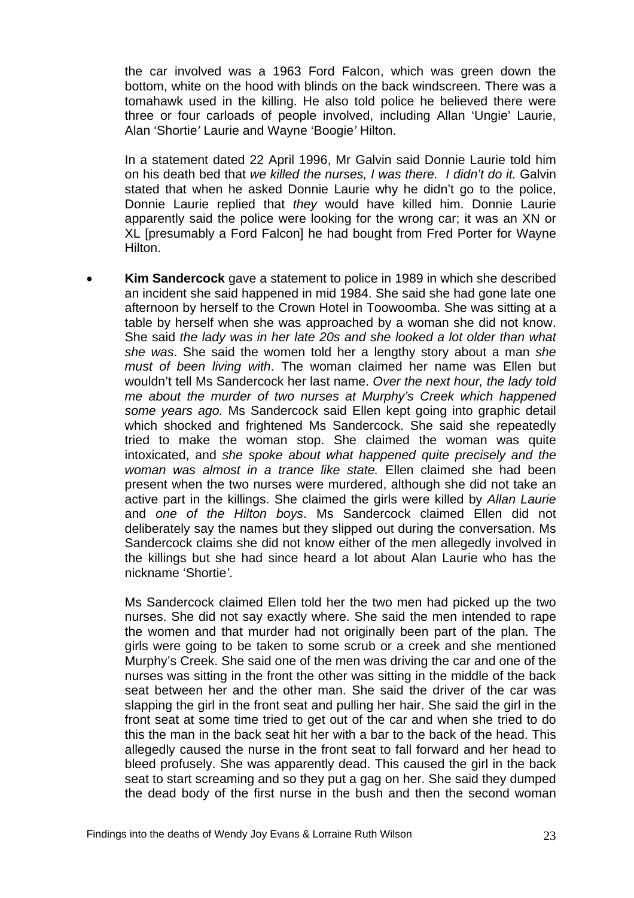the car involved was a 1963 Ford Falcon, which was green down the bottom, white on the hood with blinds on the back windscreen. There was a tomahawk used in the killing. He also told police he believed there were three or four carloads of people involved, including Allan 'Ungie' Laurie, Alan 'Shortie*'* Laurie and Wayne 'Boogie*'* Hilton.

In a statement dated 22 April 1996, Mr Galvin said Donnie Laurie told him on his death bed that *we killed the nurses, I was there. I didn't do it.* Galvin stated that when he asked Donnie Laurie why he didn't go to the police, Donnie Laurie replied that *they* would have killed him. Donnie Laurie apparently said the police were looking for the wrong car; it was an XN or XL Ipresumably a Ford Falcon1 he had bought from Fred Porter for Wayne Hilton.

• **Kim Sandercock** gave a statement to police in 1989 in which she described an incident she said happened in mid 1984. She said she had gone late one afternoon by herself to the Crown Hotel in Toowoomba. She was sitting at a table by herself when she was approached by a woman she did not know. She said *the lady was in her late 20s and she looked a lot older than what she was*. She said the women told her a lengthy story about a man *she must of been living with*. The woman claimed her name was Ellen but wouldn't tell Ms Sandercock her last name. *Over the next hour, the lady told me about the murder of two nurses at Murphy's Creek which happened some years ago.* Ms Sandercock said Ellen kept going into graphic detail which shocked and frightened Ms Sandercock. She said she repeatedly tried to make the woman stop. She claimed the woman was quite intoxicated, and *she spoke about what happened quite precisely and the woman was almost in a trance like state.* Ellen claimed she had been present when the two nurses were murdered, although she did not take an active part in the killings. She claimed the girls were killed by *Allan Laurie* and *one of the Hilton boys*. Ms Sandercock claimed Ellen did not deliberately say the names but they slipped out during the conversation. Ms Sandercock claims she did not know either of the men allegedly involved in the killings but she had since heard a lot about Alan Laurie who has the nickname 'Shortie*'*.

Ms Sandercock claimed Ellen told her the two men had picked up the two nurses. She did not say exactly where. She said the men intended to rape the women and that murder had not originally been part of the plan. The girls were going to be taken to some scrub or a creek and she mentioned Murphy's Creek. She said one of the men was driving the car and one of the nurses was sitting in the front the other was sitting in the middle of the back seat between her and the other man. She said the driver of the car was slapping the girl in the front seat and pulling her hair. She said the girl in the front seat at some time tried to get out of the car and when she tried to do this the man in the back seat hit her with a bar to the back of the head. This allegedly caused the nurse in the front seat to fall forward and her head to bleed profusely. She was apparently dead. This caused the girl in the back seat to start screaming and so they put a gag on her. She said they dumped the dead body of the first nurse in the bush and then the second woman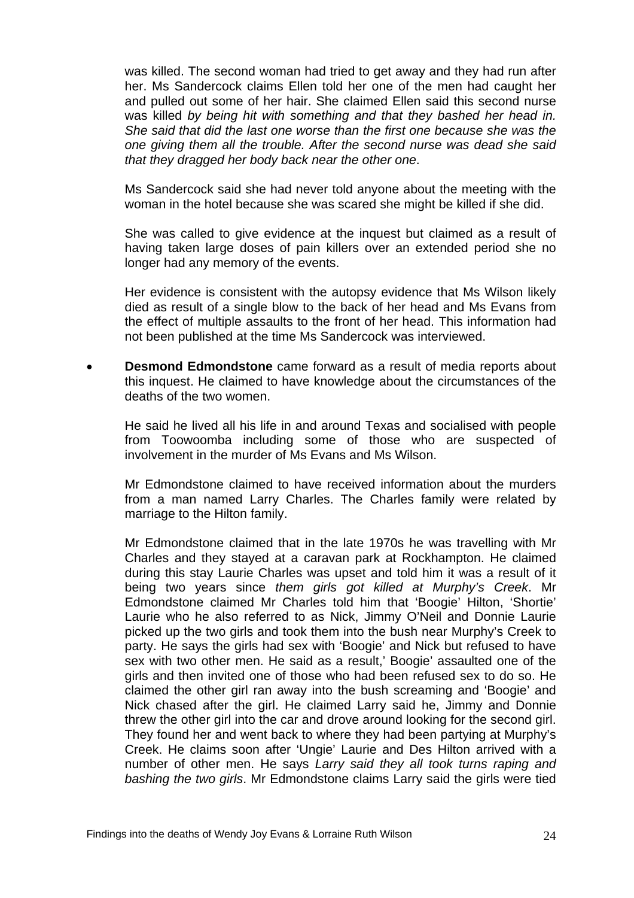was killed. The second woman had tried to get away and they had run after her. Ms Sandercock claims Ellen told her one of the men had caught her and pulled out some of her hair. She claimed Ellen said this second nurse was killed *by being hit with something and that they bashed her head in. She said that did the last one worse than the first one because she was the one giving them all the trouble. After the second nurse was dead she said that they dragged her body back near the other one*.

Ms Sandercock said she had never told anyone about the meeting with the woman in the hotel because she was scared she might be killed if she did.

She was called to give evidence at the inquest but claimed as a result of having taken large doses of pain killers over an extended period she no longer had any memory of the events.

Her evidence is consistent with the autopsy evidence that Ms Wilson likely died as result of a single blow to the back of her head and Ms Evans from the effect of multiple assaults to the front of her head. This information had not been published at the time Ms Sandercock was interviewed.

• **Desmond Edmondstone** came forward as a result of media reports about this inquest. He claimed to have knowledge about the circumstances of the deaths of the two women.

He said he lived all his life in and around Texas and socialised with people from Toowoomba including some of those who are suspected of involvement in the murder of Ms Evans and Ms Wilson.

Mr Edmondstone claimed to have received information about the murders from a man named Larry Charles. The Charles family were related by marriage to the Hilton family.

Mr Edmondstone claimed that in the late 1970s he was travelling with Mr Charles and they stayed at a caravan park at Rockhampton. He claimed during this stay Laurie Charles was upset and told him it was a result of it being two years since *them girls got killed at Murphy's Creek*. Mr Edmondstone claimed Mr Charles told him that 'Boogie' Hilton, 'Shortie' Laurie who he also referred to as Nick, Jimmy O'Neil and Donnie Laurie picked up the two girls and took them into the bush near Murphy's Creek to party. He says the girls had sex with 'Boogie' and Nick but refused to have sex with two other men. He said as a result,' Boogie' assaulted one of the girls and then invited one of those who had been refused sex to do so. He claimed the other girl ran away into the bush screaming and 'Boogie' and Nick chased after the girl. He claimed Larry said he, Jimmy and Donnie threw the other girl into the car and drove around looking for the second girl. They found her and went back to where they had been partying at Murphy's Creek. He claims soon after 'Ungie' Laurie and Des Hilton arrived with a number of other men. He says *Larry said they all took turns raping and bashing the two girls*. Mr Edmondstone claims Larry said the girls were tied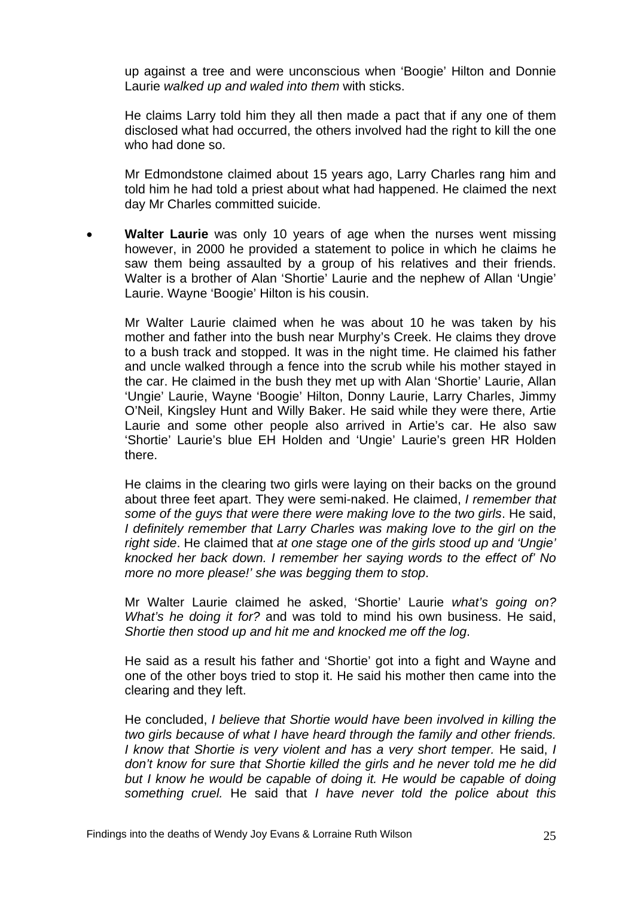up against a tree and were unconscious when 'Boogie' Hilton and Donnie Laurie *walked up and waled into them* with sticks.

He claims Larry told him they all then made a pact that if any one of them disclosed what had occurred, the others involved had the right to kill the one who had done so.

Mr Edmondstone claimed about 15 years ago, Larry Charles rang him and told him he had told a priest about what had happened. He claimed the next day Mr Charles committed suicide.

• **Walter Laurie** was only 10 years of age when the nurses went missing however, in 2000 he provided a statement to police in which he claims he saw them being assaulted by a group of his relatives and their friends. Walter is a brother of Alan 'Shortie' Laurie and the nephew of Allan 'Ungie' Laurie. Wayne 'Boogie' Hilton is his cousin.

Mr Walter Laurie claimed when he was about 10 he was taken by his mother and father into the bush near Murphy's Creek. He claims they drove to a bush track and stopped. It was in the night time. He claimed his father and uncle walked through a fence into the scrub while his mother stayed in the car. He claimed in the bush they met up with Alan 'Shortie' Laurie, Allan 'Ungie' Laurie, Wayne 'Boogie' Hilton, Donny Laurie, Larry Charles, Jimmy O'Neil, Kingsley Hunt and Willy Baker. He said while they were there, Artie Laurie and some other people also arrived in Artie's car. He also saw 'Shortie' Laurie's blue EH Holden and 'Ungie' Laurie's green HR Holden there.

He claims in the clearing two girls were laying on their backs on the ground about three feet apart. They were semi-naked. He claimed, *I remember that some of the guys that were there were making love to the two girls*. He said, *I definitely remember that Larry Charles was making love to the girl on the right side*. He claimed that *at one stage one of the girls stood up and 'Ungie' knocked her back down. I remember her saying words to the effect of' No more no more please!' she was begging them to stop*.

Mr Walter Laurie claimed he asked, 'Shortie' Laurie *what's going on? What's he doing it for?* and was told to mind his own business. He said, *Shortie then stood up and hit me and knocked me off the log*.

He said as a result his father and 'Shortie' got into a fight and Wayne and one of the other boys tried to stop it. He said his mother then came into the clearing and they left.

He concluded, *I believe that Shortie would have been involved in killing the two girls because of what I have heard through the family and other friends. I know that Shortie is very violent and has a very short temper.* He said, *I don't know for sure that Shortie killed the girls and he never told me he did*  but I know he would be capable of doing it. He would be capable of doing *something cruel.* He said that *I have never told the police about this*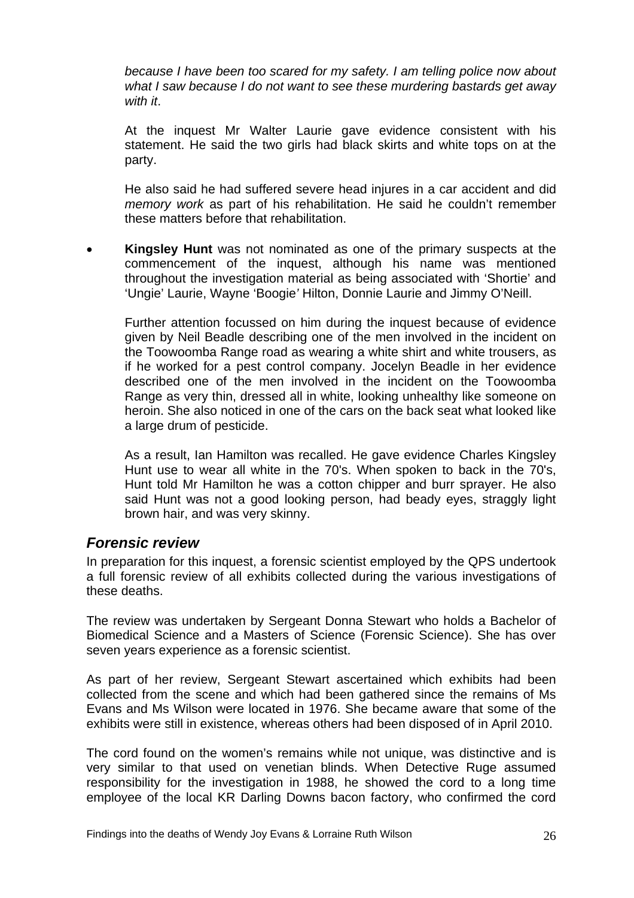<span id="page-27-0"></span>*because I have been too scared for my safety. I am telling police now about what I saw because I do not want to see these murdering bastards get away with it*.

At the inquest Mr Walter Laurie gave evidence consistent with his statement. He said the two girls had black skirts and white tops on at the party.

He also said he had suffered severe head injures in a car accident and did *memory work* as part of his rehabilitation. He said he couldn't remember these matters before that rehabilitation.

• **Kingsley Hunt** was not nominated as one of the primary suspects at the commencement of the inquest, although his name was mentioned throughout the investigation material as being associated with 'Shortie' and 'Ungie' Laurie, Wayne 'Boogie*'* Hilton, Donnie Laurie and Jimmy O'Neill.

Further attention focussed on him during the inquest because of evidence given by Neil Beadle describing one of the men involved in the incident on the Toowoomba Range road as wearing a white shirt and white trousers, as if he worked for a pest control company. Jocelyn Beadle in her evidence described one of the men involved in the incident on the Toowoomba Range as very thin, dressed all in white, looking unhealthy like someone on heroin. She also noticed in one of the cars on the back seat what looked like a large drum of pesticide.

As a result, Ian Hamilton was recalled. He gave evidence Charles Kingsley Hunt use to wear all white in the 70's. When spoken to back in the 70's, Hunt told Mr Hamilton he was a cotton chipper and burr sprayer. He also said Hunt was not a good looking person, had beady eyes, straggly light brown hair, and was very skinny.

#### *Forensic review*

In preparation for this inquest, a forensic scientist employed by the QPS undertook a full forensic review of all exhibits collected during the various investigations of these deaths.

The review was undertaken by Sergeant Donna Stewart who holds a Bachelor of Biomedical Science and a Masters of Science (Forensic Science). She has over seven years experience as a forensic scientist.

As part of her review, Sergeant Stewart ascertained which exhibits had been collected from the scene and which had been gathered since the remains of Ms Evans and Ms Wilson were located in 1976. She became aware that some of the exhibits were still in existence, whereas others had been disposed of in April 2010.

The cord found on the women's remains while not unique, was distinctive and is very similar to that used on venetian blinds. When Detective Ruge assumed responsibility for the investigation in 1988, he showed the cord to a long time employee of the local KR Darling Downs bacon factory, who confirmed the cord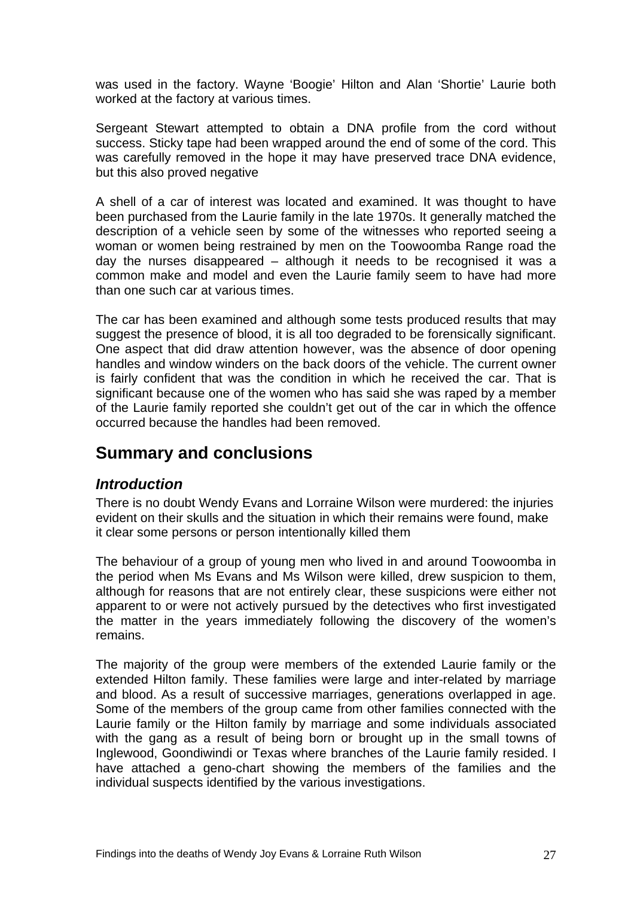<span id="page-28-0"></span>was used in the factory. Wayne 'Boogie' Hilton and Alan 'Shortie' Laurie both worked at the factory at various times.

Sergeant Stewart attempted to obtain a DNA profile from the cord without success. Sticky tape had been wrapped around the end of some of the cord. This was carefully removed in the hope it may have preserved trace DNA evidence, but this also proved negative

A shell of a car of interest was located and examined. It was thought to have been purchased from the Laurie family in the late 1970s. It generally matched the description of a vehicle seen by some of the witnesses who reported seeing a woman or women being restrained by men on the Toowoomba Range road the day the nurses disappeared – although it needs to be recognised it was a common make and model and even the Laurie family seem to have had more than one such car at various times.

The car has been examined and although some tests produced results that may suggest the presence of blood, it is all too degraded to be forensically significant. One aspect that did draw attention however, was the absence of door opening handles and window winders on the back doors of the vehicle. The current owner is fairly confident that was the condition in which he received the car. That is significant because one of the women who has said she was raped by a member of the Laurie family reported she couldn't get out of the car in which the offence occurred because the handles had been removed.

# **Summary and conclusions**

#### *Introduction*

There is no doubt Wendy Evans and Lorraine Wilson were murdered: the injuries evident on their skulls and the situation in which their remains were found, make it clear some persons or person intentionally killed them

The behaviour of a group of young men who lived in and around Toowoomba in the period when Ms Evans and Ms Wilson were killed, drew suspicion to them, although for reasons that are not entirely clear, these suspicions were either not apparent to or were not actively pursued by the detectives who first investigated the matter in the years immediately following the discovery of the women's remains.

The majority of the group were members of the extended Laurie family or the extended Hilton family. These families were large and inter-related by marriage and blood. As a result of successive marriages, generations overlapped in age. Some of the members of the group came from other families connected with the Laurie family or the Hilton family by marriage and some individuals associated with the gang as a result of being born or brought up in the small towns of Inglewood, Goondiwindi or Texas where branches of the Laurie family resided. I have attached a geno-chart showing the members of the families and the individual suspects identified by the various investigations.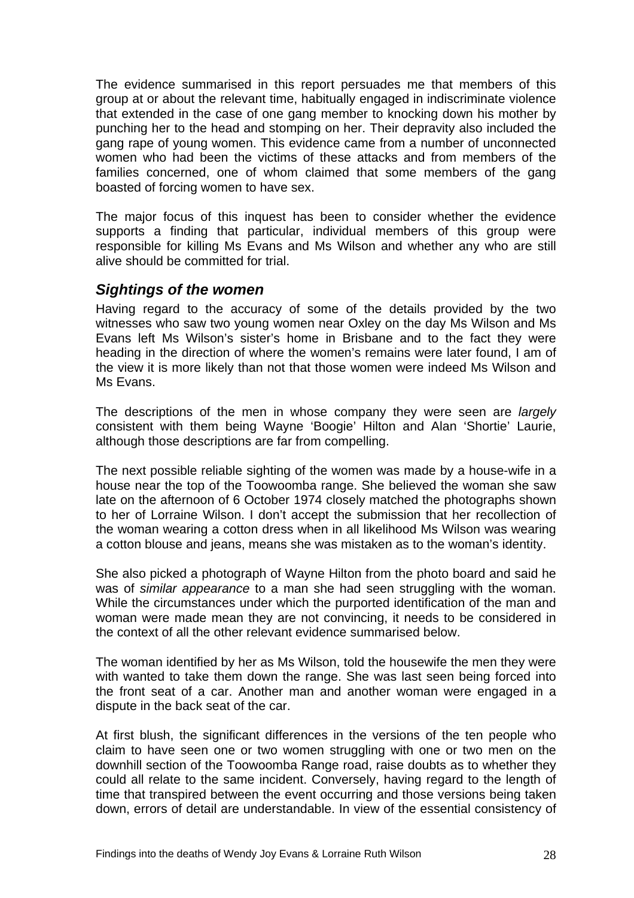<span id="page-29-0"></span>The evidence summarised in this report persuades me that members of this group at or about the relevant time, habitually engaged in indiscriminate violence that extended in the case of one gang member to knocking down his mother by punching her to the head and stomping on her. Their depravity also included the gang rape of young women. This evidence came from a number of unconnected women who had been the victims of these attacks and from members of the families concerned, one of whom claimed that some members of the gang boasted of forcing women to have sex.

The major focus of this inquest has been to consider whether the evidence supports a finding that particular, individual members of this group were responsible for killing Ms Evans and Ms Wilson and whether any who are still alive should be committed for trial.

#### *Sightings of the women*

Having regard to the accuracy of some of the details provided by the two witnesses who saw two young women near Oxley on the day Ms Wilson and Ms Evans left Ms Wilson's sister's home in Brisbane and to the fact they were heading in the direction of where the women's remains were later found, I am of the view it is more likely than not that those women were indeed Ms Wilson and Ms Evans.

The descriptions of the men in whose company they were seen are *largely*  consistent with them being Wayne 'Boogie' Hilton and Alan 'Shortie' Laurie, although those descriptions are far from compelling.

The next possible reliable sighting of the women was made by a house-wife in a house near the top of the Toowoomba range. She believed the woman she saw late on the afternoon of 6 October 1974 closely matched the photographs shown to her of Lorraine Wilson. I don't accept the submission that her recollection of the woman wearing a cotton dress when in all likelihood Ms Wilson was wearing a cotton blouse and jeans, means she was mistaken as to the woman's identity.

She also picked a photograph of Wayne Hilton from the photo board and said he was of *similar appearance* to a man she had seen struggling with the woman. While the circumstances under which the purported identification of the man and woman were made mean they are not convincing, it needs to be considered in the context of all the other relevant evidence summarised below.

The woman identified by her as Ms Wilson, told the housewife the men they were with wanted to take them down the range. She was last seen being forced into the front seat of a car. Another man and another woman were engaged in a dispute in the back seat of the car.

At first blush, the significant differences in the versions of the ten people who claim to have seen one or two women struggling with one or two men on the downhill section of the Toowoomba Range road, raise doubts as to whether they could all relate to the same incident. Conversely, having regard to the length of time that transpired between the event occurring and those versions being taken down, errors of detail are understandable. In view of the essential consistency of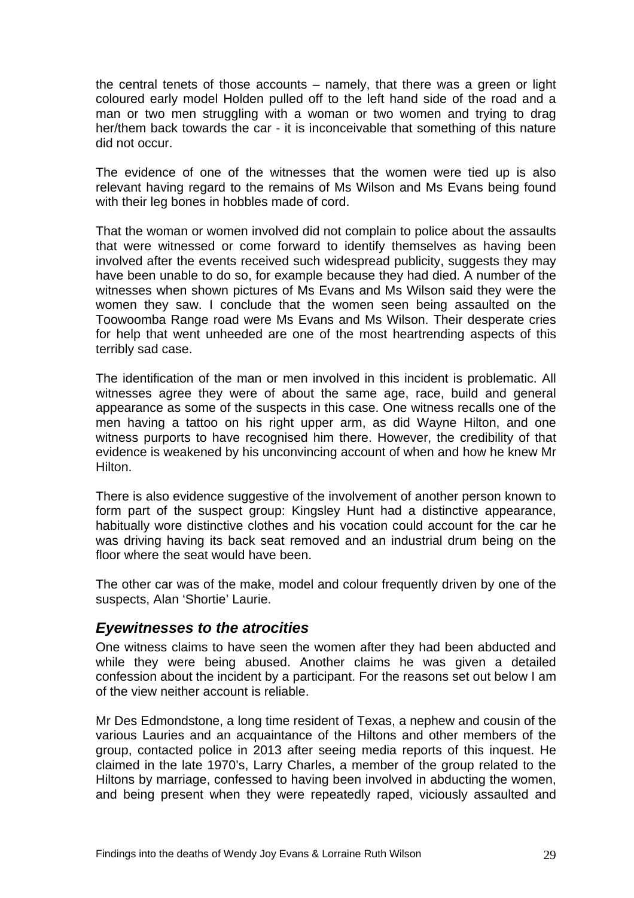<span id="page-30-0"></span>the central tenets of those accounts – namely, that there was a green or light coloured early model Holden pulled off to the left hand side of the road and a man or two men struggling with a woman or two women and trying to drag her/them back towards the car - it is inconceivable that something of this nature did not occur.

The evidence of one of the witnesses that the women were tied up is also relevant having regard to the remains of Ms Wilson and Ms Evans being found with their leg bones in hobbles made of cord.

That the woman or women involved did not complain to police about the assaults that were witnessed or come forward to identify themselves as having been involved after the events received such widespread publicity, suggests they may have been unable to do so, for example because they had died. A number of the witnesses when shown pictures of Ms Evans and Ms Wilson said they were the women they saw. I conclude that the women seen being assaulted on the Toowoomba Range road were Ms Evans and Ms Wilson. Their desperate cries for help that went unheeded are one of the most heartrending aspects of this terribly sad case.

The identification of the man or men involved in this incident is problematic. All witnesses agree they were of about the same age, race, build and general appearance as some of the suspects in this case. One witness recalls one of the men having a tattoo on his right upper arm, as did Wayne Hilton, and one witness purports to have recognised him there. However, the credibility of that evidence is weakened by his unconvincing account of when and how he knew Mr Hilton.

There is also evidence suggestive of the involvement of another person known to form part of the suspect group: Kingsley Hunt had a distinctive appearance, habitually wore distinctive clothes and his vocation could account for the car he was driving having its back seat removed and an industrial drum being on the floor where the seat would have been.

The other car was of the make, model and colour frequently driven by one of the suspects, Alan 'Shortie' Laurie.

#### *Eyewitnesses to the atrocities*

One witness claims to have seen the women after they had been abducted and while they were being abused. Another claims he was given a detailed confession about the incident by a participant. For the reasons set out below I am of the view neither account is reliable.

Mr Des Edmondstone, a long time resident of Texas, a nephew and cousin of the various Lauries and an acquaintance of the Hiltons and other members of the group, contacted police in 2013 after seeing media reports of this inquest. He claimed in the late 1970's, Larry Charles, a member of the group related to the Hiltons by marriage, confessed to having been involved in abducting the women, and being present when they were repeatedly raped, viciously assaulted and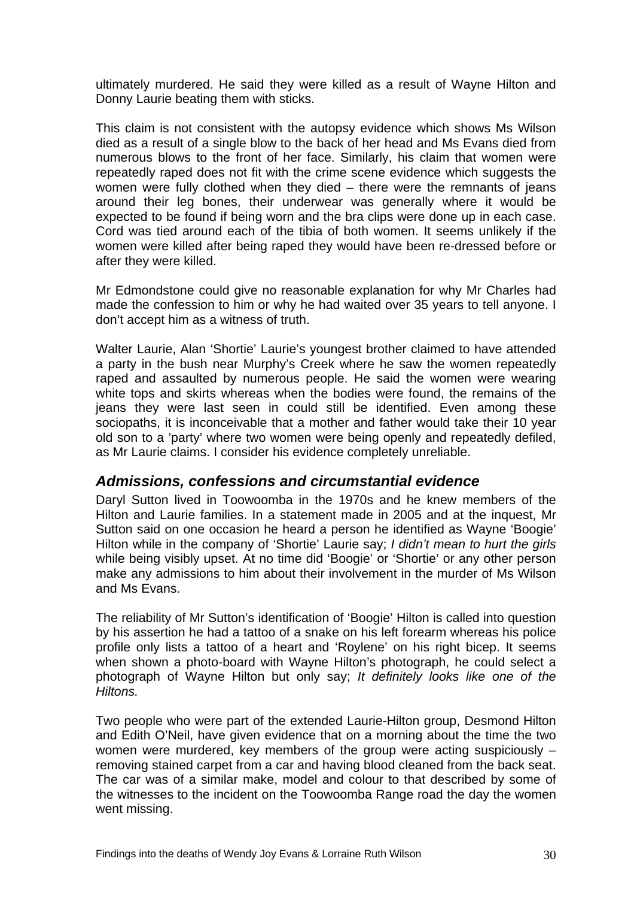<span id="page-31-0"></span>ultimately murdered. He said they were killed as a result of Wayne Hilton and Donny Laurie beating them with sticks.

This claim is not consistent with the autopsy evidence which shows Ms Wilson died as a result of a single blow to the back of her head and Ms Evans died from numerous blows to the front of her face. Similarly, his claim that women were repeatedly raped does not fit with the crime scene evidence which suggests the women were fully clothed when they died – there were the remnants of jeans around their leg bones, their underwear was generally where it would be expected to be found if being worn and the bra clips were done up in each case. Cord was tied around each of the tibia of both women. It seems unlikely if the women were killed after being raped they would have been re-dressed before or after they were killed.

Mr Edmondstone could give no reasonable explanation for why Mr Charles had made the confession to him or why he had waited over 35 years to tell anyone. I don't accept him as a witness of truth.

Walter Laurie, Alan 'Shortie' Laurie's youngest brother claimed to have attended a party in the bush near Murphy's Creek where he saw the women repeatedly raped and assaulted by numerous people. He said the women were wearing white tops and skirts whereas when the bodies were found, the remains of the jeans they were last seen in could still be identified. Even among these sociopaths, it is inconceivable that a mother and father would take their 10 year old son to a 'party' where two women were being openly and repeatedly defiled, as Mr Laurie claims. I consider his evidence completely unreliable.

#### *Admissions, confessions and circumstantial evidence*

Daryl Sutton lived in Toowoomba in the 1970s and he knew members of the Hilton and Laurie families. In a statement made in 2005 and at the inquest, Mr Sutton said on one occasion he heard a person he identified as Wayne 'Boogie' Hilton while in the company of 'Shortie' Laurie say; *I didn't mean to hurt the girls* while being visibly upset. At no time did 'Boogie' or 'Shortie' or any other person make any admissions to him about their involvement in the murder of Ms Wilson and Ms Evans.

The reliability of Mr Sutton's identification of 'Boogie' Hilton is called into question by his assertion he had a tattoo of a snake on his left forearm whereas his police profile only lists a tattoo of a heart and 'Roylene' on his right bicep. It seems when shown a photo-board with Wayne Hilton's photograph, he could select a photograph of Wayne Hilton but only say; *It definitely looks like one of the Hiltons.* 

Two people who were part of the extended Laurie-Hilton group, Desmond Hilton and Edith O'Neil, have given evidence that on a morning about the time the two women were murdered, key members of the group were acting suspiciously – removing stained carpet from a car and having blood cleaned from the back seat. The car was of a similar make, model and colour to that described by some of the witnesses to the incident on the Toowoomba Range road the day the women went missing.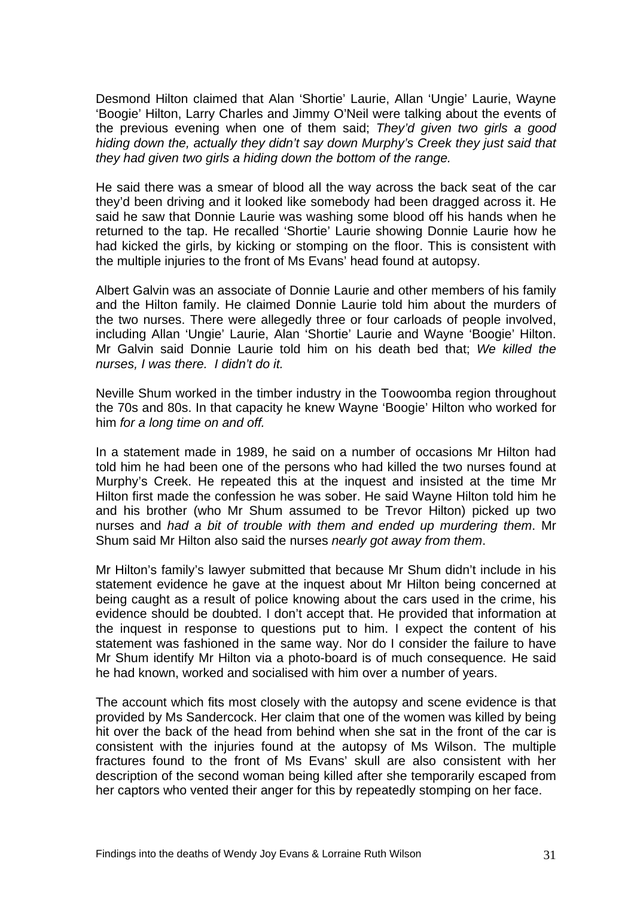Desmond Hilton claimed that Alan 'Shortie' Laurie, Allan 'Ungie' Laurie, Wayne 'Boogie' Hilton, Larry Charles and Jimmy O'Neil were talking about the events of the previous evening when one of them said; *They'd given two girls a good hiding down the, actually they didn't say down Murphy's Creek they just said that they had given two girls a hiding down the bottom of the range.* 

He said there was a smear of blood all the way across the back seat of the car they'd been driving and it looked like somebody had been dragged across it. He said he saw that Donnie Laurie was washing some blood off his hands when he returned to the tap. He recalled 'Shortie' Laurie showing Donnie Laurie how he had kicked the girls, by kicking or stomping on the floor. This is consistent with the multiple injuries to the front of Ms Evans' head found at autopsy.

Albert Galvin was an associate of Donnie Laurie and other members of his family and the Hilton family. He claimed Donnie Laurie told him about the murders of the two nurses. There were allegedly three or four carloads of people involved, including Allan 'Ungie' Laurie, Alan 'Shortie' Laurie and Wayne 'Boogie' Hilton. Mr Galvin said Donnie Laurie told him on his death bed that; *We killed the nurses, I was there. I didn't do it.* 

Neville Shum worked in the timber industry in the Toowoomba region throughout the 70s and 80s. In that capacity he knew Wayne 'Boogie' Hilton who worked for him *for a long time on and off.* 

In a statement made in 1989, he said on a number of occasions Mr Hilton had told him he had been one of the persons who had killed the two nurses found at Murphy's Creek. He repeated this at the inquest and insisted at the time Mr Hilton first made the confession he was sober. He said Wayne Hilton told him he and his brother (who Mr Shum assumed to be Trevor Hilton) picked up two nurses and *had a bit of trouble with them and ended up murdering them*. Mr Shum said Mr Hilton also said the nurses *nearly got away from them*.

Mr Hilton's family's lawyer submitted that because Mr Shum didn't include in his statement evidence he gave at the inquest about Mr Hilton being concerned at being caught as a result of police knowing about the cars used in the crime, his evidence should be doubted. I don't accept that. He provided that information at the inquest in response to questions put to him. I expect the content of his statement was fashioned in the same way. Nor do I consider the failure to have Mr Shum identify Mr Hilton via a photo-board is of much consequence*.* He said he had known, worked and socialised with him over a number of years.

The account which fits most closely with the autopsy and scene evidence is that provided by Ms Sandercock. Her claim that one of the women was killed by being hit over the back of the head from behind when she sat in the front of the car is consistent with the injuries found at the autopsy of Ms Wilson. The multiple fractures found to the front of Ms Evans' skull are also consistent with her description of the second woman being killed after she temporarily escaped from her captors who vented their anger for this by repeatedly stomping on her face.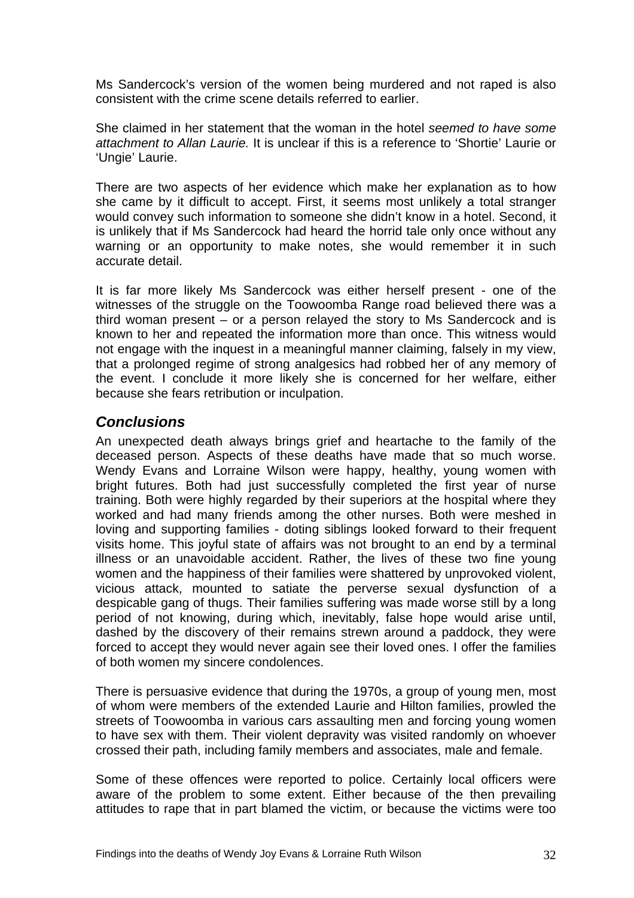<span id="page-33-0"></span>Ms Sandercock's version of the women being murdered and not raped is also consistent with the crime scene details referred to earlier.

She claimed in her statement that the woman in the hotel *seemed to have some attachment to Allan Laurie.* It is unclear if this is a reference to 'Shortie' Laurie or 'Ungie' Laurie.

There are two aspects of her evidence which make her explanation as to how she came by it difficult to accept. First, it seems most unlikely a total stranger would convey such information to someone she didn't know in a hotel. Second, it is unlikely that if Ms Sandercock had heard the horrid tale only once without any warning or an opportunity to make notes, she would remember it in such accurate detail.

It is far more likely Ms Sandercock was either herself present - one of the witnesses of the struggle on the Toowoomba Range road believed there was a third woman present – or a person relayed the story to Ms Sandercock and is known to her and repeated the information more than once. This witness would not engage with the inquest in a meaningful manner claiming, falsely in my view, that a prolonged regime of strong analgesics had robbed her of any memory of the event. I conclude it more likely she is concerned for her welfare, either because she fears retribution or inculpation.

#### *Conclusions*

An unexpected death always brings grief and heartache to the family of the deceased person. Aspects of these deaths have made that so much worse. Wendy Evans and Lorraine Wilson were happy, healthy, young women with bright futures. Both had just successfully completed the first year of nurse training. Both were highly regarded by their superiors at the hospital where they worked and had many friends among the other nurses. Both were meshed in loving and supporting families - doting siblings looked forward to their frequent visits home. This joyful state of affairs was not brought to an end by a terminal illness or an unavoidable accident. Rather, the lives of these two fine young women and the happiness of their families were shattered by unprovoked violent, vicious attack, mounted to satiate the perverse sexual dysfunction of a despicable gang of thugs. Their families suffering was made worse still by a long period of not knowing, during which, inevitably, false hope would arise until, dashed by the discovery of their remains strewn around a paddock, they were forced to accept they would never again see their loved ones. I offer the families of both women my sincere condolences.

There is persuasive evidence that during the 1970s, a group of young men, most of whom were members of the extended Laurie and Hilton families, prowled the streets of Toowoomba in various cars assaulting men and forcing young women to have sex with them. Their violent depravity was visited randomly on whoever crossed their path, including family members and associates, male and female.

Some of these offences were reported to police. Certainly local officers were aware of the problem to some extent. Either because of the then prevailing attitudes to rape that in part blamed the victim, or because the victims were too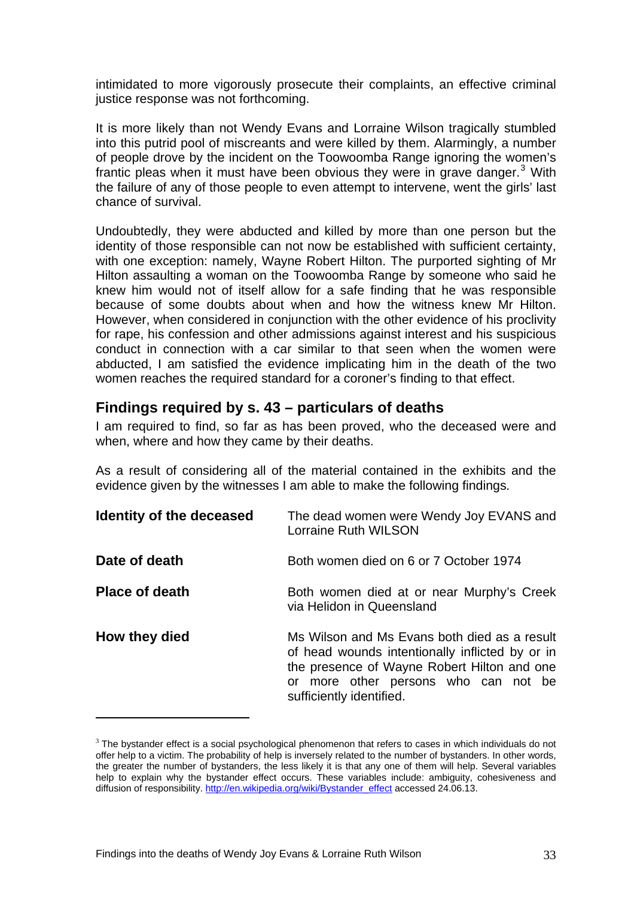<span id="page-34-0"></span>intimidated to more vigorously prosecute their complaints, an effective criminal justice response was not forthcoming.

It is more likely than not Wendy Evans and Lorraine Wilson tragically stumbled into this putrid pool of miscreants and were killed by them. Alarmingly, a number of people drove by the incident on the Toowoomba Range ignoring the women's frantic pleas when it must have been obvious they were in grave danger. $3$  With the failure of any of those people to even attempt to intervene, went the girls' last chance of survival.

Undoubtedly, they were abducted and killed by more than one person but the identity of those responsible can not now be established with sufficient certainty, with one exception: namely, Wayne Robert Hilton. The purported sighting of Mr Hilton assaulting a woman on the Toowoomba Range by someone who said he knew him would not of itself allow for a safe finding that he was responsible because of some doubts about when and how the witness knew Mr Hilton. However, when considered in conjunction with the other evidence of his proclivity for rape, his confession and other admissions against interest and his suspicious conduct in connection with a car similar to that seen when the women were abducted, I am satisfied the evidence implicating him in the death of the two women reaches the required standard for a coroner's finding to that effect.

#### **Findings required by s. 43 – particulars of deaths**

I am required to find, so far as has been proved, who the deceased were and when, where and how they came by their deaths.

As a result of considering all of the material contained in the exhibits and the evidence given by the witnesses I am able to make the following findings.

| Identity of the deceased | The dead women were Wendy Joy EVANS and<br>Lorraine Ruth WILSON                                                                                                                                                    |
|--------------------------|--------------------------------------------------------------------------------------------------------------------------------------------------------------------------------------------------------------------|
| Date of death            | Both women died on 6 or 7 October 1974                                                                                                                                                                             |
| <b>Place of death</b>    | Both women died at or near Murphy's Creek<br>via Helidon in Queensland                                                                                                                                             |
| How they died            | Ms Wilson and Ms Evans both died as a result<br>of head wounds intentionally inflicted by or in<br>the presence of Wayne Robert Hilton and one<br>or more other persons who can not be<br>sufficiently identified. |

<sup>&</sup>lt;sup>3</sup> The bystander effect is a [social psychological](http://en.wikipedia.org/wiki/Social_psychology_(psychology)) phenomenon that refers to cases in which individuals do not offer help to a victim. The probability of help is inversely related to the number of bystanders. In other words, the greater the number of bystanders, the less likely it is that any one of them will help. Several variables help to explain why the bystander effect occurs. These variables include: ambiguity, cohesiveness and diffusion of responsibility. [http://en.wikipedia.org/wiki/Bystander\\_effect](http://en.wikipedia.org/wiki/Bystander_effect) accessed 24.06.13.

 $\overline{a}$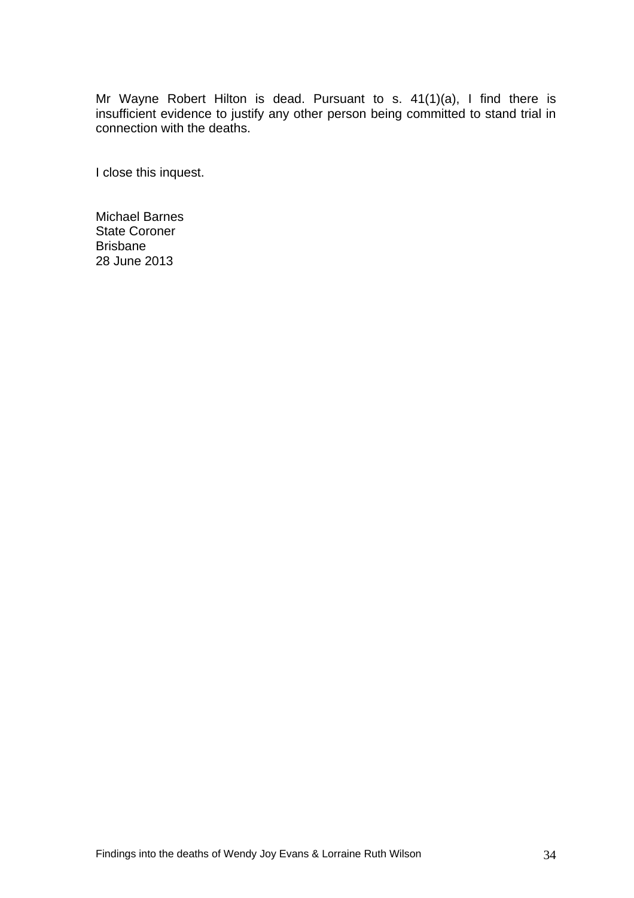Mr Wayne Robert Hilton is dead. Pursuant to s. 41(1)(a), I find there is insufficient evidence to justify any other person being committed to stand trial in connection with the deaths.

I close this inquest.

Michael Barnes State Coroner Brisbane 28 June 2013